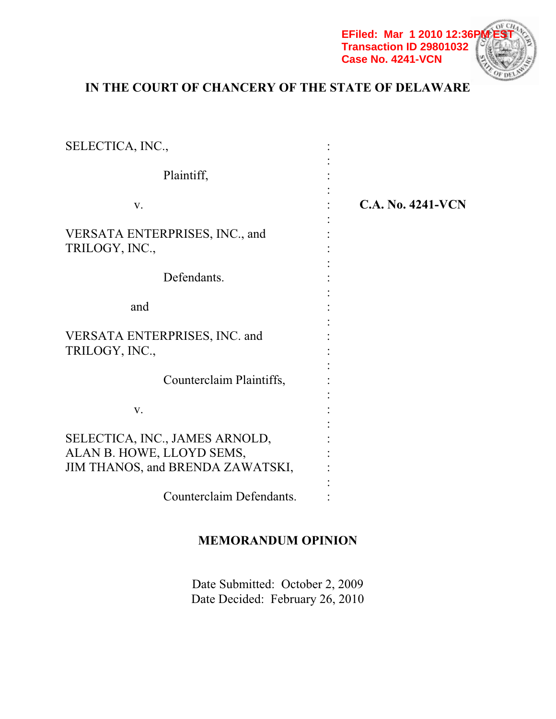

# **IN THE COURT OF CHANCERY OF THE STATE OF DELAWARE**

| SELECTICA, INC.,                                                                                |                          |
|-------------------------------------------------------------------------------------------------|--------------------------|
| Plaintiff,                                                                                      |                          |
| V.                                                                                              | <b>C.A. No. 4241-VCN</b> |
| VERSATA ENTERPRISES, INC., and<br>TRILOGY, INC.,                                                |                          |
| Defendants.                                                                                     |                          |
| and                                                                                             |                          |
| VERSATA ENTERPRISES, INC. and<br>TRILOGY, INC.,                                                 |                          |
| Counterclaim Plaintiffs,                                                                        |                          |
| V.                                                                                              |                          |
| SELECTICA, INC., JAMES ARNOLD,<br>ALAN B. HOWE, LLOYD SEMS,<br>JIM THANOS, and BRENDA ZAWATSKI, |                          |
| Counterclaim Defendants.                                                                        |                          |

# **MEMORANDUM OPINION**

Date Submitted: October 2, 2009 Date Decided: February 26, 2010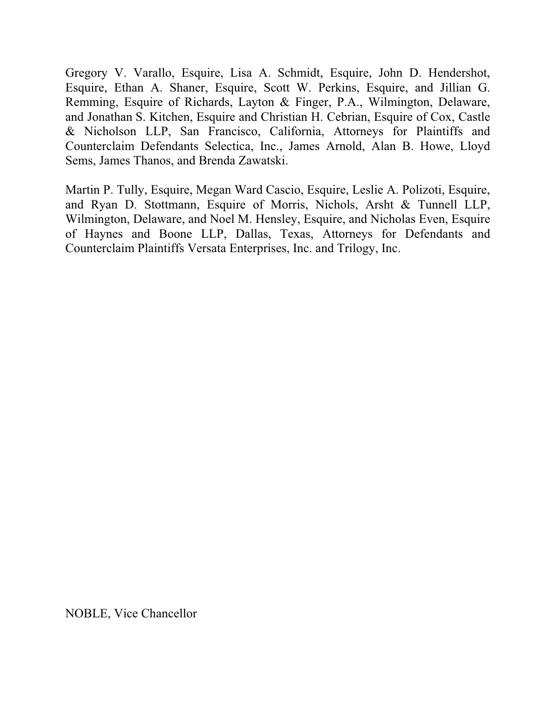Gregory V. Varallo, Esquire, Lisa A. Schmidt, Esquire, John D. Hendershot, Esquire, Ethan A. Shaner, Esquire, Scott W. Perkins, Esquire, and Jillian G. Remming, Esquire of Richards, Layton & Finger, P.A., Wilmington, Delaware, and Jonathan S. Kitchen, Esquire and Christian H. Cebrian, Esquire of Cox, Castle & Nicholson LLP, San Francisco, California, Attorneys for Plaintiffs and Counterclaim Defendants Selectica, Inc., James Arnold, Alan B. Howe, Lloyd Sems, James Thanos, and Brenda Zawatski.

Martin P. Tully, Esquire, Megan Ward Cascio, Esquire, Leslie A. Polizoti, Esquire, and Ryan D. Stottmann, Esquire of Morris, Nichols, Arsht & Tunnell LLP, Wilmington, Delaware, and Noel M. Hensley, Esquire, and Nicholas Even, Esquire of Haynes and Boone LLP, Dallas, Texas, Attorneys for Defendants and Counterclaim Plaintiffs Versata Enterprises, Inc. and Trilogy, Inc.

NOBLE, Vice Chancellor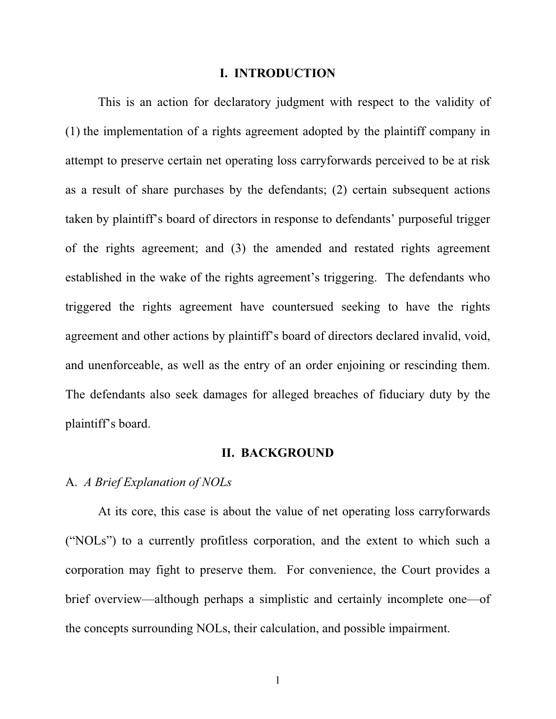#### **I. INTRODUCTION**

This is an action for declaratory judgment with respect to the validity of (1) the implementation of a rights agreement adopted by the plaintiff company in attempt to preserve certain net operating loss carryforwards perceived to be at risk as a result of share purchases by the defendants; (2) certain subsequent actions taken by plaintiff's board of directors in response to defendants' purposeful trigger of the rights agreement; and (3) the amended and restated rights agreement established in the wake of the rights agreement's triggering. The defendants who triggered the rights agreement have countersued seeking to have the rights agreement and other actions by plaintiff's board of directors declared invalid, void, and unenforceable, as well as the entry of an order enjoining or rescinding them. The defendants also seek damages for alleged breaches of fiduciary duty by the plaintiff's board.

#### **II. BACKGROUND**

### A. *A Brief Explanation of NOLs*

At its core, this case is about the value of net operating loss carryforwards ("NOLs") to a currently profitless corporation, and the extent to which such a corporation may fight to preserve them. For convenience, the Court provides a brief overview—although perhaps a simplistic and certainly incomplete one—of the concepts surrounding NOLs, their calculation, and possible impairment.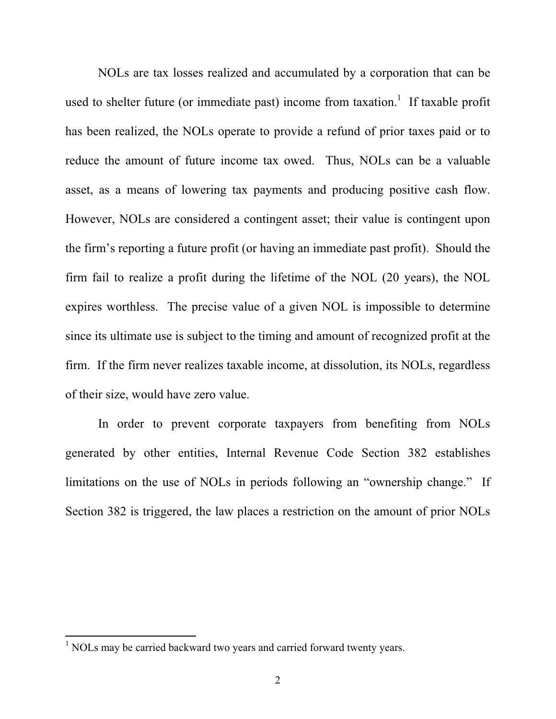NOLs are tax losses realized and accumulated by a corporation that can be used to shelter future (or immediate past) income from taxation.<sup>1</sup> If taxable profit has been realized, the NOLs operate to provide a refund of prior taxes paid or to reduce the amount of future income tax owed. Thus, NOLs can be a valuable asset, as a means of lowering tax payments and producing positive cash flow. However, NOLs are considered a contingent asset; their value is contingent upon the firm's reporting a future profit (or having an immediate past profit). Should the firm fail to realize a profit during the lifetime of the NOL (20 years), the NOL expires worthless. The precise value of a given NOL is impossible to determine since its ultimate use is subject to the timing and amount of recognized profit at the firm. If the firm never realizes taxable income, at dissolution, its NOLs, regardless of their size, would have zero value.

In order to prevent corporate taxpayers from benefiting from NOLs generated by other entities, Internal Revenue Code Section 382 establishes limitations on the use of NOLs in periods following an "ownership change." If Section 382 is triggered, the law places a restriction on the amount of prior NOLs

<sup>&</sup>lt;sup>1</sup> NOLs may be carried backward two years and carried forward twenty years.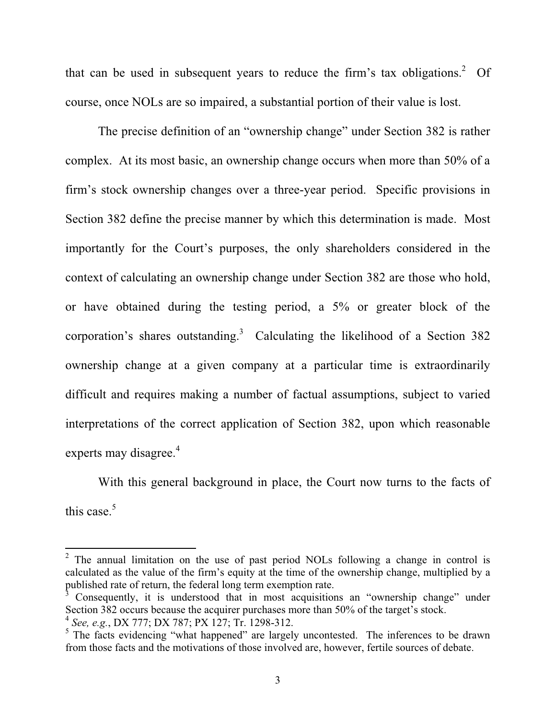that can be used in subsequent years to reduce the firm's tax obligations.<sup>2</sup> Of course, once NOLs are so impaired, a substantial portion of their value is lost.

The precise definition of an "ownership change" under Section 382 is rather complex. At its most basic, an ownership change occurs when more than 50% of a firm's stock ownership changes over a three-year period. Specific provisions in Section 382 define the precise manner by which this determination is made. Most importantly for the Court's purposes, the only shareholders considered in the context of calculating an ownership change under Section 382 are those who hold, or have obtained during the testing period, a 5% or greater block of the corporation's shares outstanding.<sup>3</sup> Calculating the likelihood of a Section 382 ownership change at a given company at a particular time is extraordinarily difficult and requires making a number of factual assumptions, subject to varied interpretations of the correct application of Section 382, upon which reasonable experts may disagree.<sup>4</sup>

With this general background in place, the Court now turns to the facts of this case. $5$ 

<sup>&</sup>lt;sup>2</sup> The annual limitation on the use of past period NOLs following a change in control is calculated as the value of the firm's equity at the time of the ownership change, multiplied by a published rate of return, the federal long term exemption rate.

<sup>3</sup> Consequently, it is understood that in most acquisitions an "ownership change" under Section 382 occurs because the acquirer purchases more than 50% of the target's stock. <sup>4</sup> *See, e.g.*, DX 777; DX 787; PX 127; Tr. 1298-312.

<sup>&</sup>lt;sup>5</sup> The facts evidencing "what happened" are largely uncontested. The inferences to be drawn from those facts and the motivations of those involved are, however, fertile sources of debate.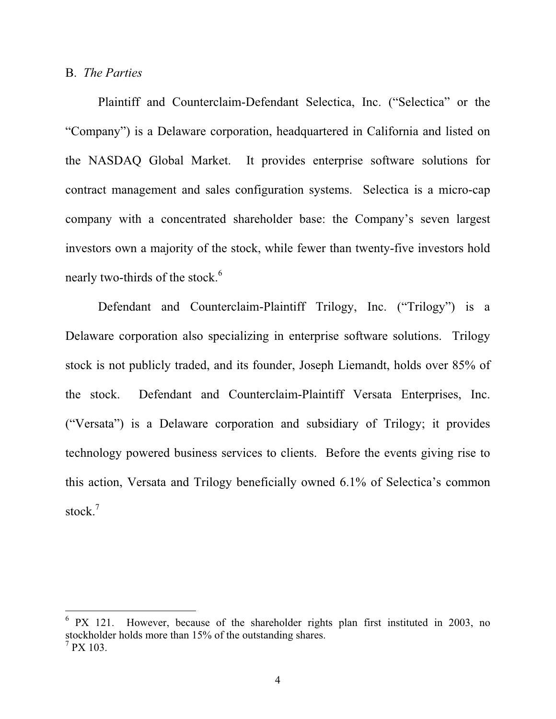#### B. *The Parties*

Plaintiff and Counterclaim-Defendant Selectica, Inc. ("Selectica" or the "Company") is a Delaware corporation, headquartered in California and listed on the NASDAQ Global Market. It provides enterprise software solutions for contract management and sales configuration systems. Selectica is a micro-cap company with a concentrated shareholder base: the Company's seven largest investors own a majority of the stock, while fewer than twenty-five investors hold nearly two-thirds of the stock.<sup>6</sup>

Defendant and Counterclaim-Plaintiff Trilogy, Inc. ("Trilogy") is a Delaware corporation also specializing in enterprise software solutions. Trilogy stock is not publicly traded, and its founder, Joseph Liemandt, holds over 85% of the stock. Defendant and Counterclaim-Plaintiff Versata Enterprises, Inc. ("Versata") is a Delaware corporation and subsidiary of Trilogy; it provides technology powered business services to clients. Before the events giving rise to this action, Versata and Trilogy beneficially owned 6.1% of Selectica's common stock.<sup>7</sup>

<sup>6</sup> PX 121. However, because of the shareholder rights plan first instituted in 2003, no stockholder holds more than 15% of the outstanding shares.  $7$  PX 103.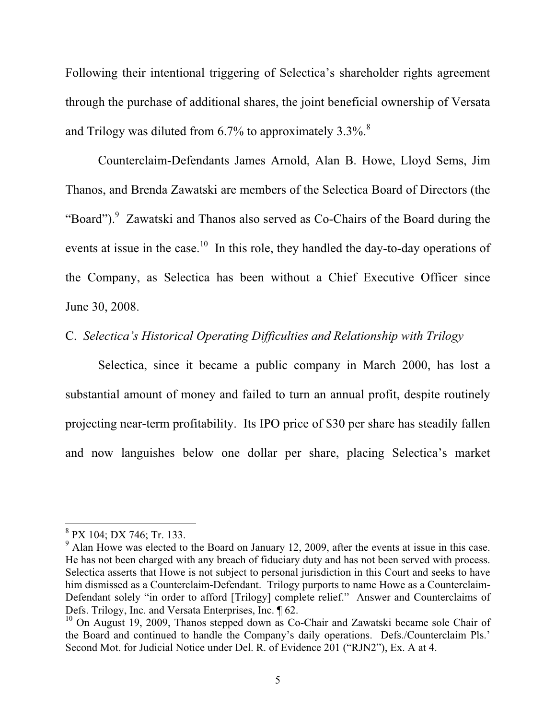Following their intentional triggering of Selectica's shareholder rights agreement through the purchase of additional shares, the joint beneficial ownership of Versata and Trilogy was diluted from  $6.7\%$  to approximately  $3.3\%$ .<sup>8</sup>

Counterclaim-Defendants James Arnold, Alan B. Howe, Lloyd Sems, Jim Thanos, and Brenda Zawatski are members of the Selectica Board of Directors (the "Board"). Zawatski and Thanos also served as Co-Chairs of the Board during the events at issue in the case.<sup>10</sup> In this role, they handled the day-to-day operations of the Company, as Selectica has been without a Chief Executive Officer since June 30, 2008.

## C. *Selectica's Historical Operating Difficulties and Relationship with Trilogy*

Selectica, since it became a public company in March 2000, has lost a substantial amount of money and failed to turn an annual profit, despite routinely projecting near-term profitability. Its IPO price of \$30 per share has steadily fallen and now languishes below one dollar per share, placing Selectica's market

<sup>8</sup> PX 104; DX 746; Tr. 133.

 $9$  Alan Howe was elected to the Board on January 12, 2009, after the events at issue in this case. He has not been charged with any breach of fiduciary duty and has not been served with process. Selectica asserts that Howe is not subject to personal jurisdiction in this Court and seeks to have him dismissed as a Counterclaim-Defendant. Trilogy purports to name Howe as a Counterclaim-Defendant solely "in order to afford [Trilogy] complete relief." Answer and Counterclaims of Defs. Trilogy, Inc. and Versata Enterprises, Inc. ¶ 62.

 $10$  On August 19, 2009, Thanos stepped down as Co-Chair and Zawatski became sole Chair of the Board and continued to handle the Company's daily operations. Defs./Counterclaim Pls.' Second Mot. for Judicial Notice under Del. R. of Evidence 201 ("RJN2"), Ex. A at 4.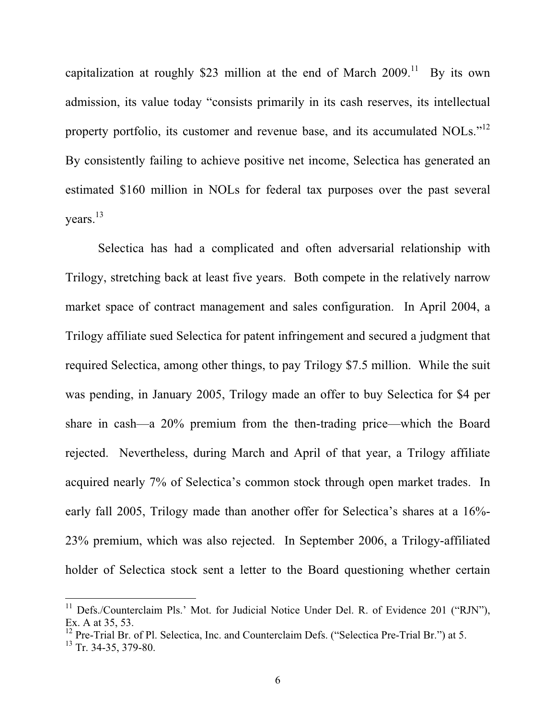capitalization at roughly \$23 million at the end of March  $2009$ .<sup>11</sup> By its own admission, its value today "consists primarily in its cash reserves, its intellectual property portfolio, its customer and revenue base, and its accumulated NOLs."<sup>12</sup> By consistently failing to achieve positive net income, Selectica has generated an estimated \$160 million in NOLs for federal tax purposes over the past several years.<sup>13</sup>

Selectica has had a complicated and often adversarial relationship with Trilogy, stretching back at least five years. Both compete in the relatively narrow market space of contract management and sales configuration. In April 2004, a Trilogy affiliate sued Selectica for patent infringement and secured a judgment that required Selectica, among other things, to pay Trilogy \$7.5 million. While the suit was pending, in January 2005, Trilogy made an offer to buy Selectica for \$4 per share in cash—a 20% premium from the then-trading price—which the Board rejected. Nevertheless, during March and April of that year, a Trilogy affiliate acquired nearly 7% of Selectica's common stock through open market trades. In early fall 2005, Trilogy made than another offer for Selectica's shares at a 16%- 23% premium, which was also rejected. In September 2006, a Trilogy-affiliated holder of Selectica stock sent a letter to the Board questioning whether certain

<sup>&</sup>lt;sup>11</sup> Defs./Counterclaim Pls.' Mot. for Judicial Notice Under Del. R. of Evidence 201 ("RJN"), Ex. A at 35, 53.

<sup>&</sup>lt;sup>12</sup> Pre-Trial Br. of Pl. Selectica, Inc. and Counterclaim Defs. ("Selectica Pre-Trial Br.") at 5.

 $13$  Tr. 34-35, 379-80.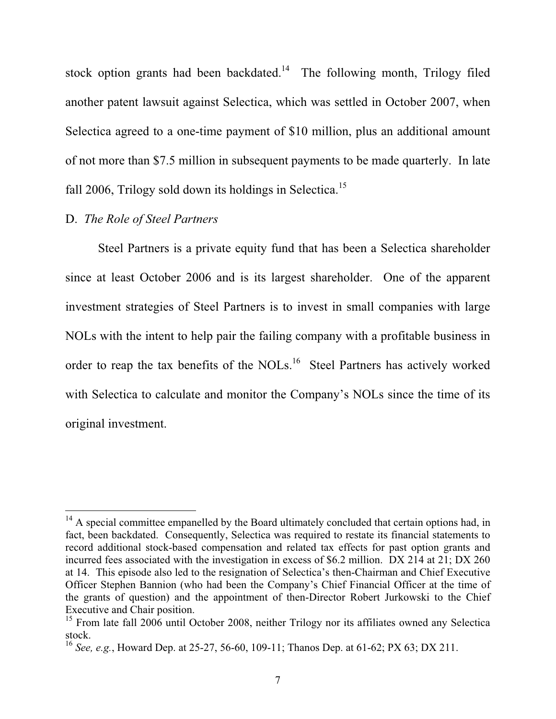stock option grants had been backdated.<sup>14</sup> The following month, Trilogy filed another patent lawsuit against Selectica, which was settled in October 2007, when Selectica agreed to a one-time payment of \$10 million, plus an additional amount of not more than \$7.5 million in subsequent payments to be made quarterly. In late fall 2006, Trilogy sold down its holdings in Selectica.<sup>15</sup>

## D. *The Role of Steel Partners*

Steel Partners is a private equity fund that has been a Selectica shareholder since at least October 2006 and is its largest shareholder. One of the apparent investment strategies of Steel Partners is to invest in small companies with large NOLs with the intent to help pair the failing company with a profitable business in order to reap the tax benefits of the NOLs.<sup>16</sup> Steel Partners has actively worked with Selectica to calculate and monitor the Company's NOLs since the time of its original investment.

<sup>&</sup>lt;sup>14</sup> A special committee empanelled by the Board ultimately concluded that certain options had, in fact, been backdated. Consequently, Selectica was required to restate its financial statements to record additional stock-based compensation and related tax effects for past option grants and incurred fees associated with the investigation in excess of \$6.2 million. DX 214 at 21; DX 260 at 14. This episode also led to the resignation of Selectica's then-Chairman and Chief Executive Officer Stephen Bannion (who had been the Company's Chief Financial Officer at the time of the grants of question) and the appointment of then-Director Robert Jurkowski to the Chief Executive and Chair position.

<sup>&</sup>lt;sup>15</sup> From late fall 2006 until October 2008, neither Trilogy nor its affiliates owned any Selectica stock.

<sup>16</sup> *See, e.g.*, Howard Dep. at 25-27, 56-60, 109-11; Thanos Dep. at 61-62; PX 63; DX 211.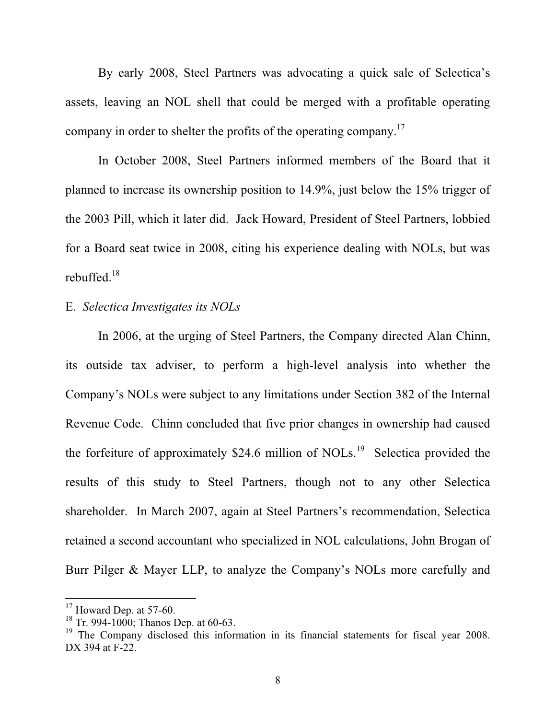By early 2008, Steel Partners was advocating a quick sale of Selectica's assets, leaving an NOL shell that could be merged with a profitable operating company in order to shelter the profits of the operating company.<sup>17</sup>

In October 2008, Steel Partners informed members of the Board that it planned to increase its ownership position to 14.9%, just below the 15% trigger of the 2003 Pill, which it later did. Jack Howard, President of Steel Partners, lobbied for a Board seat twice in 2008, citing his experience dealing with NOLs, but was rebuffed.18

## E. *Selectica Investigates its NOLs*

In 2006, at the urging of Steel Partners, the Company directed Alan Chinn, its outside tax adviser, to perform a high-level analysis into whether the Company's NOLs were subject to any limitations under Section 382 of the Internal Revenue Code. Chinn concluded that five prior changes in ownership had caused the forfeiture of approximately  $$24.6$  million of NOLs.<sup>19</sup> Selectica provided the results of this study to Steel Partners, though not to any other Selectica shareholder. In March 2007, again at Steel Partners's recommendation, Selectica retained a second accountant who specialized in NOL calculations, John Brogan of Burr Pilger & Mayer LLP, to analyze the Company's NOLs more carefully and

 $17$  Howard Dep. at 57-60.

 $18$  Tr. 994-1000; Thanos Dep. at 60-63.

<sup>&</sup>lt;sup>19</sup> The Company disclosed this information in its financial statements for fiscal year 2008. DX 394 at F-22.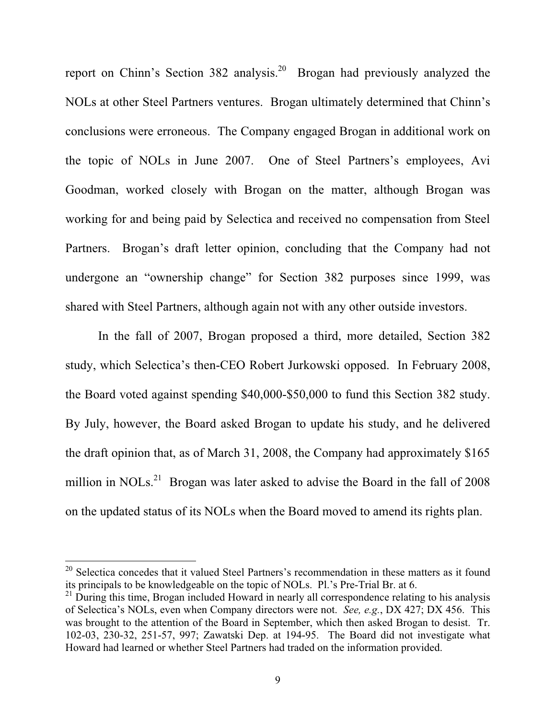report on Chinn's Section 382 analysis.<sup>20</sup> Brogan had previously analyzed the NOLs at other Steel Partners ventures. Brogan ultimately determined that Chinn's conclusions were erroneous. The Company engaged Brogan in additional work on the topic of NOLs in June 2007. One of Steel Partners's employees, Avi Goodman, worked closely with Brogan on the matter, although Brogan was working for and being paid by Selectica and received no compensation from Steel Partners. Brogan's draft letter opinion, concluding that the Company had not undergone an "ownership change" for Section 382 purposes since 1999, was shared with Steel Partners, although again not with any other outside investors.

In the fall of 2007, Brogan proposed a third, more detailed, Section 382 study, which Selectica's then-CEO Robert Jurkowski opposed. In February 2008, the Board voted against spending \$40,000-\$50,000 to fund this Section 382 study. By July, however, the Board asked Brogan to update his study, and he delivered the draft opinion that, as of March 31, 2008, the Company had approximately \$165 million in NOLs.<sup>21</sup> Brogan was later asked to advise the Board in the fall of  $2008$ on the updated status of its NOLs when the Board moved to amend its rights plan.

 $20$  Selectica concedes that it valued Steel Partners's recommendation in these matters as it found its principals to be knowledgeable on the topic of NOLs. Pl.'s Pre-Trial Br. at 6.

<sup>&</sup>lt;sup>21</sup> During this time, Brogan included Howard in nearly all correspondence relating to his analysis of Selectica's NOLs, even when Company directors were not. *See, e.g.*, DX 427; DX 456. This was brought to the attention of the Board in September, which then asked Brogan to desist. Tr. 102-03, 230-32, 251-57, 997; Zawatski Dep. at 194-95. The Board did not investigate what Howard had learned or whether Steel Partners had traded on the information provided.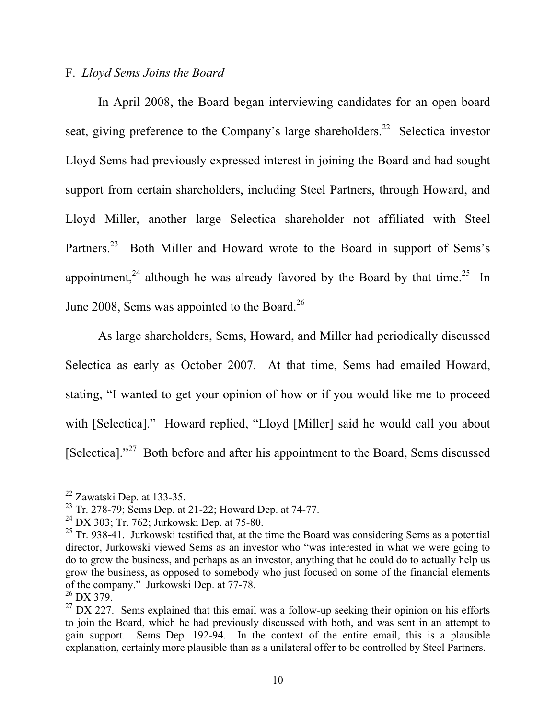# F. *Lloyd Sems Joins the Board*

In April 2008, the Board began interviewing candidates for an open board seat, giving preference to the Company's large shareholders.<sup>22</sup> Selectica investor Lloyd Sems had previously expressed interest in joining the Board and had sought support from certain shareholders, including Steel Partners, through Howard, and Lloyd Miller, another large Selectica shareholder not affiliated with Steel Partners.<sup>23</sup> Both Miller and Howard wrote to the Board in support of Sems's appointment,<sup>24</sup> although he was already favored by the Board by that time.<sup>25</sup> In June 2008, Sems was appointed to the Board.<sup>26</sup>

As large shareholders, Sems, Howard, and Miller had periodically discussed Selectica as early as October 2007. At that time, Sems had emailed Howard, stating, "I wanted to get your opinion of how or if you would like me to proceed with [Selectica]." Howard replied, "Lloyd [Miller] said he would call you about [Selectica]."<sup>27</sup> Both before and after his appointment to the Board, Sems discussed

<sup>22</sup> Zawatski Dep. at 133-35.

<sup>23</sup> Tr. 278-79; Sems Dep. at 21-22; Howard Dep. at 74-77.

 $^{24}$  DX 303; Tr. 762; Jurkowski Dep. at 75-80.

 $25$  Tr. 938-41. Jurkowski testified that, at the time the Board was considering Sems as a potential director, Jurkowski viewed Sems as an investor who "was interested in what we were going to do to grow the business, and perhaps as an investor, anything that he could do to actually help us grow the business, as opposed to somebody who just focused on some of the financial elements of the company." Jurkowski Dep. at 77-78.

 $26$  DX 379.

 $27$  DX 227. Sems explained that this email was a follow-up seeking their opinion on his efforts to join the Board, which he had previously discussed with both, and was sent in an attempt to gain support. Sems Dep. 192-94. In the context of the entire email, this is a plausible explanation, certainly more plausible than as a unilateral offer to be controlled by Steel Partners.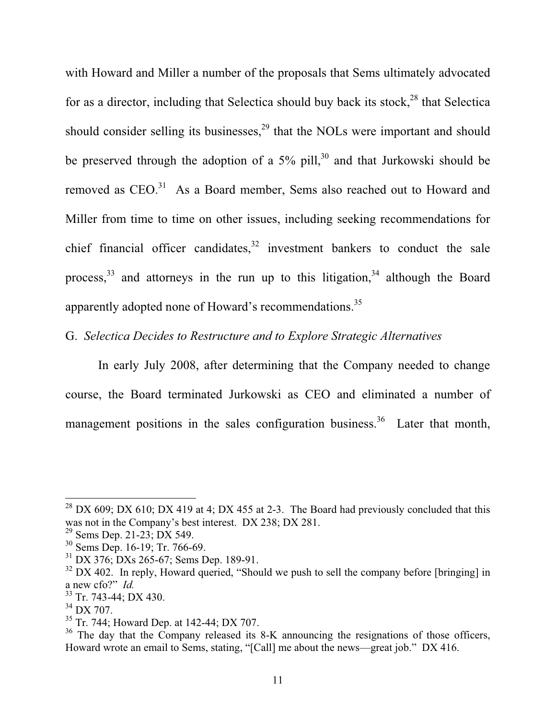with Howard and Miller a number of the proposals that Sems ultimately advocated for as a director, including that Selectica should buy back its stock, $^{28}$  that Selectica should consider selling its businesses, $29$  that the NOLs were important and should be preserved through the adoption of a  $5\%$  pill,<sup>30</sup> and that Jurkowski should be removed as CEO.<sup>31</sup> As a Board member, Sems also reached out to Howard and Miller from time to time on other issues, including seeking recommendations for chief financial officer candidates, $32$  investment bankers to conduct the sale process,  $33$  and attorneys in the run up to this litigation,  $34$  although the Board apparently adopted none of Howard's recommendations.<sup>35</sup>

G. *Selectica Decides to Restructure and to Explore Strategic Alternatives* 

In early July 2008, after determining that the Company needed to change course, the Board terminated Jurkowski as CEO and eliminated a number of management positions in the sales configuration business.<sup>36</sup> Later that month,

<sup>&</sup>lt;sup>28</sup> DX 609; DX 610; DX 419 at 4; DX 455 at 2-3. The Board had previously concluded that this was not in the Company's best interest. DX 238; DX 281.

<sup>&</sup>lt;sup>29</sup> Sems Dep. 21-23; DX 549.

<sup>30</sup> Sems Dep. 16-19; Tr. 766-69.

<sup>&</sup>lt;sup>31</sup> DX 376; DXs 265-67; Sems Dep. 189-91.

 $32$  DX 402. In reply, Howard queried, "Should we push to sell the company before [bringing] in a new cfo?" *Id.*

<sup>33</sup> Tr. 743-44; DX 430.

<sup>34</sup> DX 707.

<sup>35</sup> Tr. 744; Howard Dep. at 142-44; DX 707.

 $36$  The day that the Company released its 8-K announcing the resignations of those officers, Howard wrote an email to Sems, stating, "[Call] me about the news—great job." DX 416.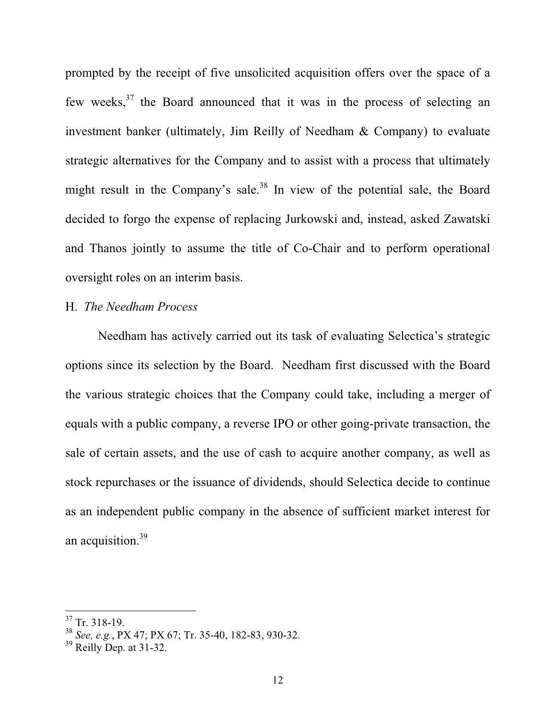prompted by the receipt of five unsolicited acquisition offers over the space of a few weeks,<sup>37</sup> the Board announced that it was in the process of selecting an investment banker (ultimately, Jim Reilly of Needham & Company) to evaluate strategic alternatives for the Company and to assist with a process that ultimately might result in the Company's sale.<sup>38</sup> In view of the potential sale, the Board decided to forgo the expense of replacing Jurkowski and, instead, asked Zawatski and Thanos jointly to assume the title of Co-Chair and to perform operational oversight roles on an interim basis.

# H. *The Needham Process*

Needham has actively carried out its task of evaluating Selectica's strategic options since its selection by the Board. Needham first discussed with the Board the various strategic choices that the Company could take, including a merger of equals with a public company, a reverse IPO or other going-private transaction, the sale of certain assets, and the use of cash to acquire another company, as well as stock repurchases or the issuance of dividends, should Selectica decide to continue as an independent public company in the absence of sufficient market interest for an acquisition.<sup>39</sup>

 $37$  Tr. 318-19.

<sup>38</sup> *See, e.g.*, PX 47; PX 67; Tr. 35-40, 182-83, 930-32.

 $39$  Reilly Dep. at  $31-32$ .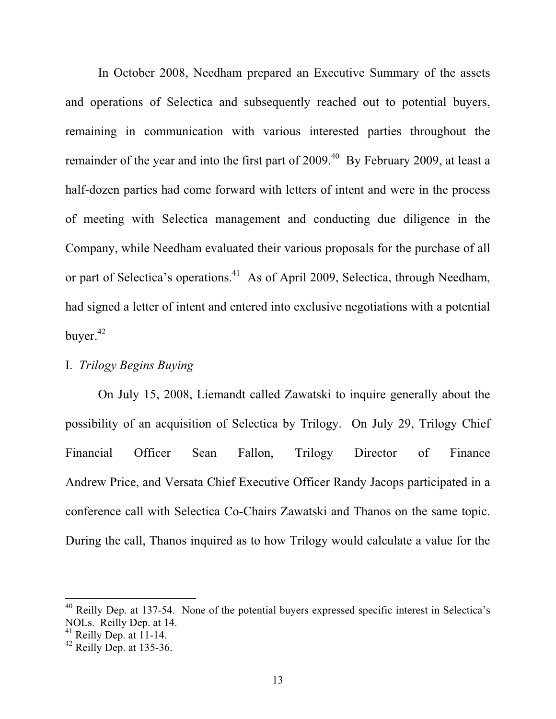In October 2008, Needham prepared an Executive Summary of the assets and operations of Selectica and subsequently reached out to potential buyers, remaining in communication with various interested parties throughout the remainder of the year and into the first part of 2009.<sup>40</sup> By February 2009, at least a half-dozen parties had come forward with letters of intent and were in the process of meeting with Selectica management and conducting due diligence in the Company, while Needham evaluated their various proposals for the purchase of all or part of Selectica's operations.<sup>41</sup> As of April 2009, Selectica, through Needham, had signed a letter of intent and entered into exclusive negotiations with a potential buyer. $42$ 

### I. *Trilogy Begins Buying*

On July 15, 2008, Liemandt called Zawatski to inquire generally about the possibility of an acquisition of Selectica by Trilogy. On July 29, Trilogy Chief Financial Officer Sean Fallon, Trilogy Director of Finance Andrew Price, and Versata Chief Executive Officer Randy Jacops participated in a conference call with Selectica Co-Chairs Zawatski and Thanos on the same topic. During the call, Thanos inquired as to how Trilogy would calculate a value for the

<sup>&</sup>lt;sup>40</sup> Reilly Dep. at 137-54. None of the potential buyers expressed specific interest in Selectica's NOLs. Reilly Dep. at 14.

 $41$  Reilly Dep. at 11-14.

 $42$  Reilly Dep. at 135-36.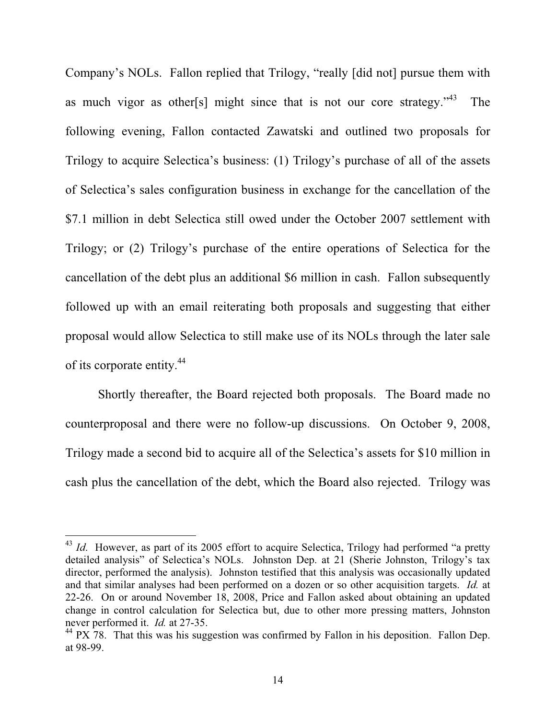Company's NOLs. Fallon replied that Trilogy, "really [did not] pursue them with as much vigor as other[s] might since that is not our core strategy. $143$  The following evening, Fallon contacted Zawatski and outlined two proposals for Trilogy to acquire Selectica's business: (1) Trilogy's purchase of all of the assets of Selectica's sales configuration business in exchange for the cancellation of the \$7.1 million in debt Selectica still owed under the October 2007 settlement with Trilogy; or (2) Trilogy's purchase of the entire operations of Selectica for the cancellation of the debt plus an additional \$6 million in cash. Fallon subsequently followed up with an email reiterating both proposals and suggesting that either proposal would allow Selectica to still make use of its NOLs through the later sale of its corporate entity.<sup>44</sup>

Shortly thereafter, the Board rejected both proposals. The Board made no counterproposal and there were no follow-up discussions. On October 9, 2008, Trilogy made a second bid to acquire all of the Selectica's assets for \$10 million in cash plus the cancellation of the debt, which the Board also rejected. Trilogy was

<sup>&</sup>lt;sup>43</sup> *Id.* However, as part of its 2005 effort to acquire Selectica, Trilogy had performed "a pretty detailed analysis" of Selectica's NOLs. Johnston Dep. at 21 (Sherie Johnston, Trilogy's tax director, performed the analysis). Johnston testified that this analysis was occasionally updated and that similar analyses had been performed on a dozen or so other acquisition targets. *Id.* at 22-26. On or around November 18, 2008, Price and Fallon asked about obtaining an updated change in control calculation for Selectica but, due to other more pressing matters, Johnston never performed it. *Id.* at 27-35.

 $44$  PX 78. That this was his suggestion was confirmed by Fallon in his deposition. Fallon Dep. at 98-99.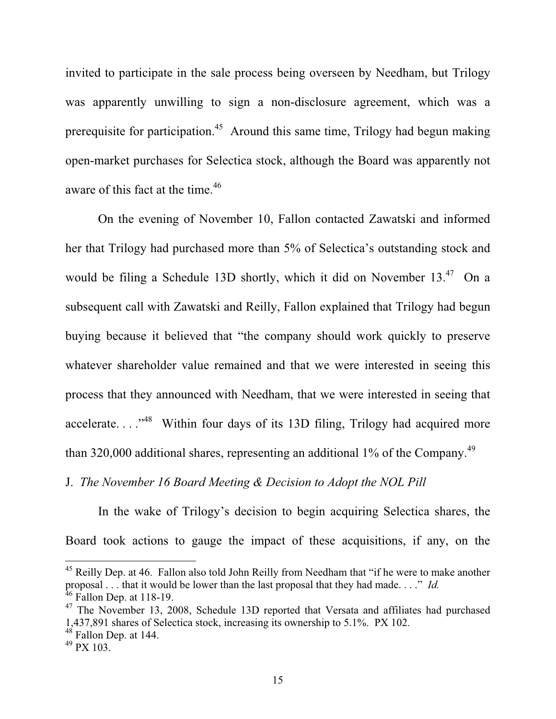invited to participate in the sale process being overseen by Needham, but Trilogy was apparently unwilling to sign a non-disclosure agreement, which was a prerequisite for participation.45 Around this same time, Trilogy had begun making open-market purchases for Selectica stock, although the Board was apparently not aware of this fact at the time.<sup>46</sup>

On the evening of November 10, Fallon contacted Zawatski and informed her that Trilogy had purchased more than 5% of Selectica's outstanding stock and would be filing a Schedule 13D shortly, which it did on November 13.<sup>47</sup> On a subsequent call with Zawatski and Reilly, Fallon explained that Trilogy had begun buying because it believed that "the company should work quickly to preserve whatever shareholder value remained and that we were interested in seeing this process that they announced with Needham, that we were interested in seeing that accelerate...."<sup>48</sup> Within four days of its 13D filing, Trilogy had acquired more than 320,000 additional shares, representing an additional  $1\%$  of the Company.<sup>49</sup>

J. *The November 16 Board Meeting & Decision to Adopt the NOL Pill* 

In the wake of Trilogy's decision to begin acquiring Selectica shares, the Board took actions to gauge the impact of these acquisitions, if any, on the

<sup>&</sup>lt;sup>45</sup> Reilly Dep. at 46. Fallon also told John Reilly from Needham that "if he were to make another proposal . . . that it would be lower than the last proposal that they had made. . . ." *Id.*  $46$  Fallon Dep. at 118-19.

<sup>&</sup>lt;sup>47</sup> The November 13, 2008, Schedule 13D reported that Versata and affiliates had purchased 1,437,891 shares of Selectica stock, increasing its ownership to 5.1%. PX 102.

 $48$  Fallon Dep. at 144.

 $49$  PX 103.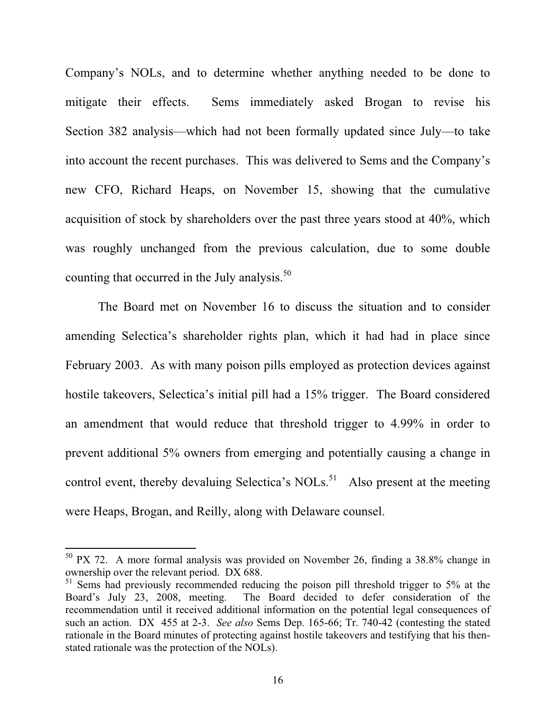Company's NOLs, and to determine whether anything needed to be done to mitigate their effects. Sems immediately asked Brogan to revise his Section 382 analysis—which had not been formally updated since July—to take into account the recent purchases. This was delivered to Sems and the Company's new CFO, Richard Heaps, on November 15, showing that the cumulative acquisition of stock by shareholders over the past three years stood at 40%, which was roughly unchanged from the previous calculation, due to some double counting that occurred in the July analysis.<sup>50</sup>

The Board met on November 16 to discuss the situation and to consider amending Selectica's shareholder rights plan, which it had had in place since February 2003. As with many poison pills employed as protection devices against hostile takeovers, Selectica's initial pill had a 15% trigger. The Board considered an amendment that would reduce that threshold trigger to 4.99% in order to prevent additional 5% owners from emerging and potentially causing a change in control event, thereby devaluing Selectica's NOLs.<sup>51</sup> Also present at the meeting were Heaps, Brogan, and Reilly, along with Delaware counsel.

<sup>50</sup> PX 72. A more formal analysis was provided on November 26, finding a 38.8% change in ownership over the relevant period. DX 688.

 $51$  Sems had previously recommended reducing the poison pill threshold trigger to 5% at the Board's July 23, 2008, meeting. The Board decided to defer consideration of the recommendation until it received additional information on the potential legal consequences of such an action. DX 455 at 2-3. *See also* Sems Dep. 165-66; Tr. 740-42 (contesting the stated rationale in the Board minutes of protecting against hostile takeovers and testifying that his thenstated rationale was the protection of the NOLs).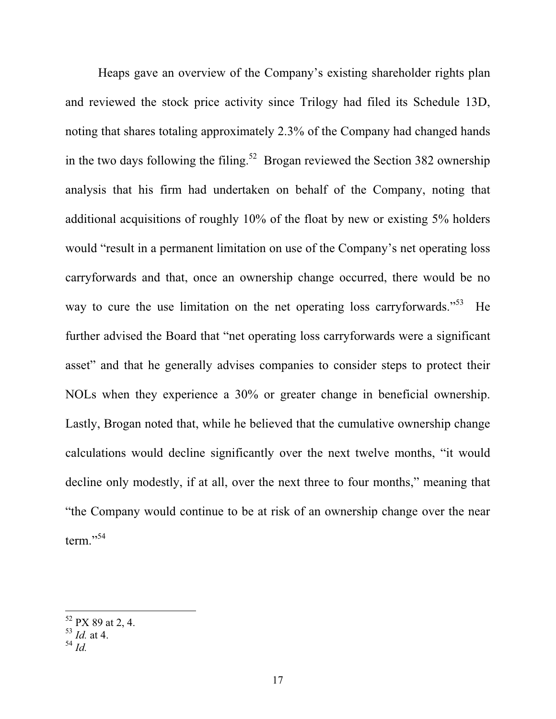Heaps gave an overview of the Company's existing shareholder rights plan and reviewed the stock price activity since Trilogy had filed its Schedule 13D, noting that shares totaling approximately 2.3% of the Company had changed hands in the two days following the filing.<sup>52</sup> Brogan reviewed the Section 382 ownership analysis that his firm had undertaken on behalf of the Company, noting that additional acquisitions of roughly 10% of the float by new or existing 5% holders would "result in a permanent limitation on use of the Company's net operating loss carryforwards and that, once an ownership change occurred, there would be no way to cure the use limitation on the net operating loss carryforwards."<sup>53</sup> He further advised the Board that "net operating loss carryforwards were a significant asset" and that he generally advises companies to consider steps to protect their NOLs when they experience a 30% or greater change in beneficial ownership. Lastly, Brogan noted that, while he believed that the cumulative ownership change calculations would decline significantly over the next twelve months, "it would decline only modestly, if at all, over the next three to four months," meaning that "the Company would continue to be at risk of an ownership change over the near term."<sup>54</sup>

 $52$  PX 89 at 2, 4.

<sup>53</sup> *Id.* at 4.

<sup>54</sup> *Id.*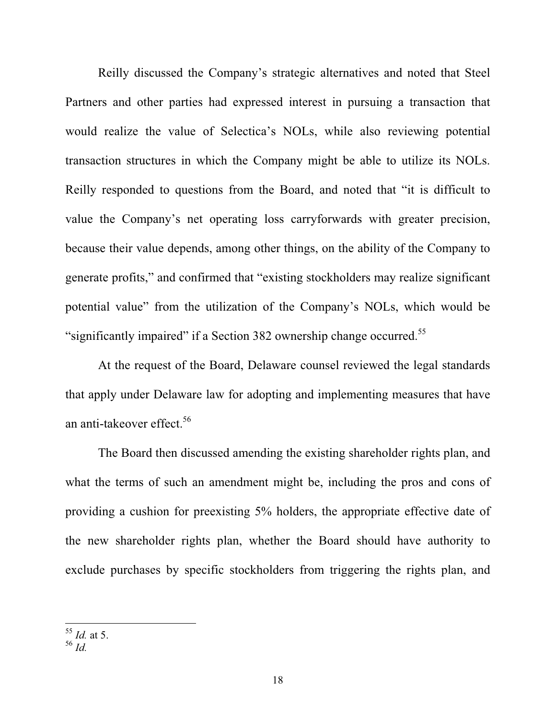Reilly discussed the Company's strategic alternatives and noted that Steel Partners and other parties had expressed interest in pursuing a transaction that would realize the value of Selectica's NOLs, while also reviewing potential transaction structures in which the Company might be able to utilize its NOLs. Reilly responded to questions from the Board, and noted that "it is difficult to value the Company's net operating loss carryforwards with greater precision, because their value depends, among other things, on the ability of the Company to generate profits," and confirmed that "existing stockholders may realize significant potential value" from the utilization of the Company's NOLs, which would be "significantly impaired" if a Section 382 ownership change occurred.<sup>55</sup>

At the request of the Board, Delaware counsel reviewed the legal standards that apply under Delaware law for adopting and implementing measures that have an anti-takeover effect.<sup>56</sup>

The Board then discussed amending the existing shareholder rights plan, and what the terms of such an amendment might be, including the pros and cons of providing a cushion for preexisting 5% holders, the appropriate effective date of the new shareholder rights plan, whether the Board should have authority to exclude purchases by specific stockholders from triggering the rights plan, and

<sup>55</sup> *Id.* at 5.

<sup>56</sup> *Id.*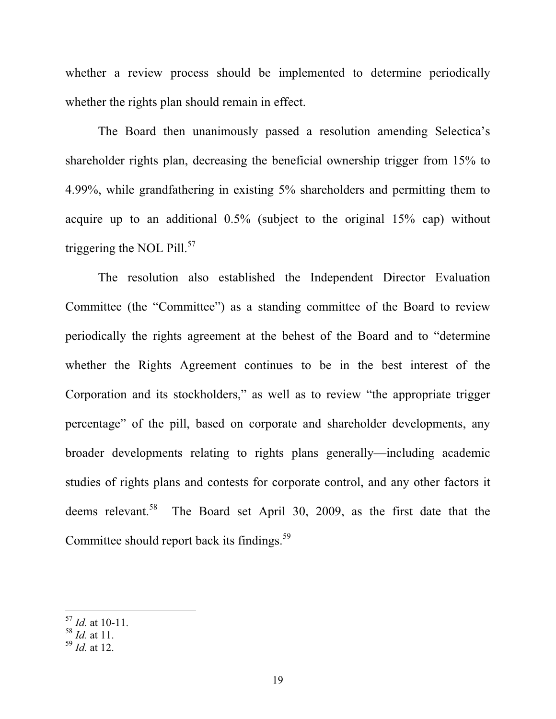whether a review process should be implemented to determine periodically whether the rights plan should remain in effect.

The Board then unanimously passed a resolution amending Selectica's shareholder rights plan, decreasing the beneficial ownership trigger from 15% to 4.99%, while grandfathering in existing 5% shareholders and permitting them to acquire up to an additional 0.5% (subject to the original 15% cap) without triggering the NOL Pill. $57$ 

The resolution also established the Independent Director Evaluation Committee (the "Committee") as a standing committee of the Board to review periodically the rights agreement at the behest of the Board and to "determine whether the Rights Agreement continues to be in the best interest of the Corporation and its stockholders," as well as to review "the appropriate trigger percentage" of the pill, based on corporate and shareholder developments, any broader developments relating to rights plans generally—including academic studies of rights plans and contests for corporate control, and any other factors it deems relevant.<sup>58</sup> The Board set April 30, 2009, as the first date that the Committee should report back its findings.<sup>59</sup>

<sup>57</sup> *Id.* at 10-11.

<sup>58</sup> *Id.* at 11.

<sup>59</sup> *Id.* at 12.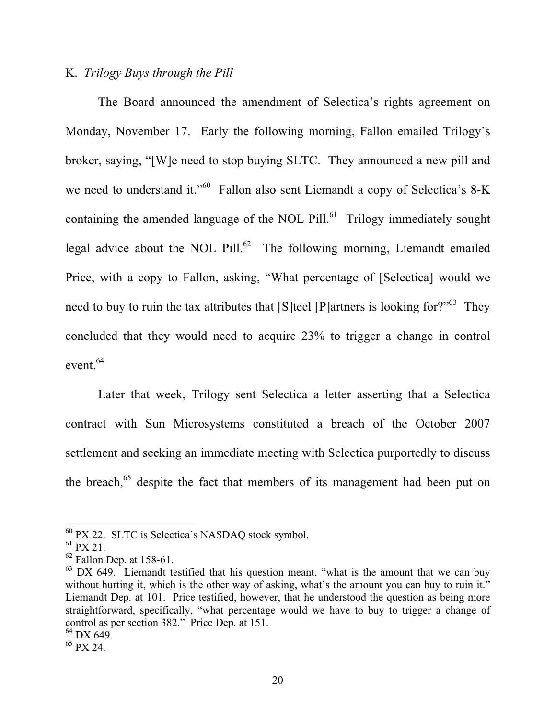## K. *Trilogy Buys through the Pill*

The Board announced the amendment of Selectica's rights agreement on Monday, November 17. Early the following morning, Fallon emailed Trilogy's broker, saying, "[W]e need to stop buying SLTC. They announced a new pill and we need to understand it."<sup>60</sup> Fallon also sent Liemandt a copy of Selectica's 8-K containing the amended language of the NOL Pill. $^{61}$  Trilogy immediately sought legal advice about the NOL Pill. $62$  The following morning, Liemandt emailed Price, with a copy to Fallon, asking, "What percentage of [Selectica] would we need to buy to ruin the tax attributes that [S]teel [P]artners is looking for?"<sup>63</sup> They concluded that they would need to acquire 23% to trigger a change in control event.<sup>64</sup>

Later that week, Trilogy sent Selectica a letter asserting that a Selectica contract with Sun Microsystems constituted a breach of the October 2007 settlement and seeking an immediate meeting with Selectica purportedly to discuss the breach,<sup>65</sup> despite the fact that members of its management had been put on

<sup>60</sup> PX 22. SLTC is Selectica's NASDAQ stock symbol.

 $61$  PX 21.

 $62$  Fallon Dep. at 158-61.

 $63$  DX 649. Liemandt testified that his question meant, "what is the amount that we can buy without hurting it, which is the other way of asking, what's the amount you can buy to ruin it." Liemandt Dep. at 101. Price testified, however, that he understood the question as being more straightforward, specifically, "what percentage would we have to buy to trigger a change of control as per section 382." Price Dep. at 151.

 $64$  DX 649.

 $65$  PX 24.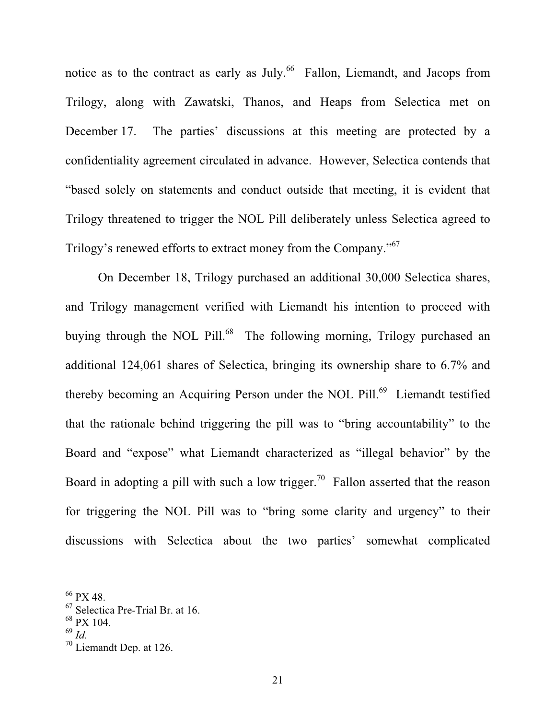notice as to the contract as early as July.<sup>66</sup> Fallon, Liemandt, and Jacops from Trilogy, along with Zawatski, Thanos, and Heaps from Selectica met on December 17. The parties' discussions at this meeting are protected by a confidentiality agreement circulated in advance. However, Selectica contends that "based solely on statements and conduct outside that meeting, it is evident that Trilogy threatened to trigger the NOL Pill deliberately unless Selectica agreed to Trilogy's renewed efforts to extract money from the Company."<sup>67</sup>

On December 18, Trilogy purchased an additional 30,000 Selectica shares, and Trilogy management verified with Liemandt his intention to proceed with buying through the NOL Pill.<sup>68</sup> The following morning, Trilogy purchased an additional 124,061 shares of Selectica, bringing its ownership share to 6.7% and thereby becoming an Acquiring Person under the NOL Pill.<sup>69</sup> Liemandt testified that the rationale behind triggering the pill was to "bring accountability" to the Board and "expose" what Liemandt characterized as "illegal behavior" by the Board in adopting a pill with such a low trigger.<sup>70</sup> Fallon asserted that the reason for triggering the NOL Pill was to "bring some clarity and urgency" to their discussions with Selectica about the two parties' somewhat complicated

<sup>66</sup> PX 48.

<sup>67</sup> Selectica Pre-Trial Br. at 16.

 $68$  PX 104.

<sup>69</sup> *Id.*

 $70$  Liemandt Dep. at 126.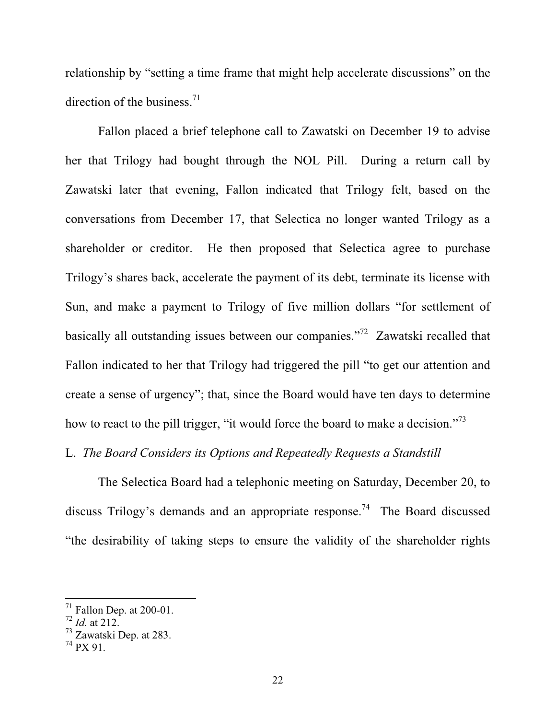relationship by "setting a time frame that might help accelerate discussions" on the direction of the business.<sup>71</sup>

Fallon placed a brief telephone call to Zawatski on December 19 to advise her that Trilogy had bought through the NOL Pill. During a return call by Zawatski later that evening, Fallon indicated that Trilogy felt, based on the conversations from December 17, that Selectica no longer wanted Trilogy as a shareholder or creditor. He then proposed that Selectica agree to purchase Trilogy's shares back, accelerate the payment of its debt, terminate its license with Sun, and make a payment to Trilogy of five million dollars "for settlement of basically all outstanding issues between our companies."<sup>72</sup> Zawatski recalled that Fallon indicated to her that Trilogy had triggered the pill "to get our attention and create a sense of urgency"; that, since the Board would have ten days to determine how to react to the pill trigger, "it would force the board to make a decision."<sup>73</sup>

# L. *The Board Considers its Options and Repeatedly Requests a Standstill*

The Selectica Board had a telephonic meeting on Saturday, December 20, to discuss Trilogy's demands and an appropriate response.<sup>74</sup> The Board discussed "the desirability of taking steps to ensure the validity of the shareholder rights

 $\frac{71}{1}$  Fallon Dep. at 200-01.

<sup>72</sup> *Id.* at 212.

<sup>73</sup> Zawatski Dep. at 283.

 $^{74}$  PX 91.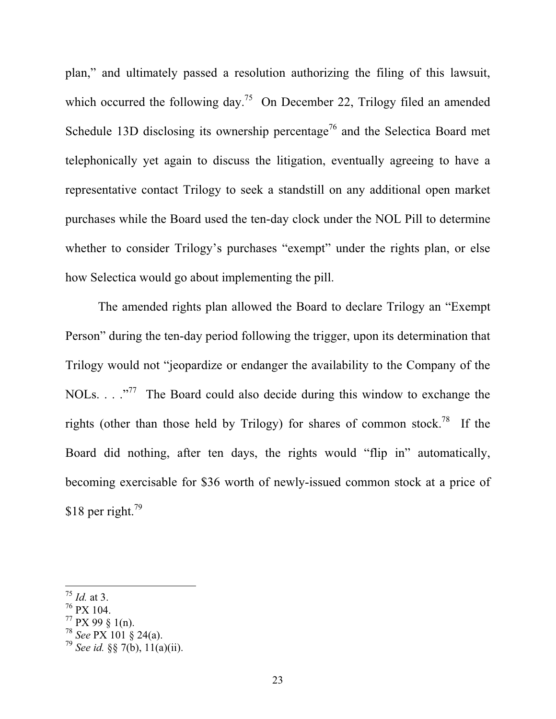plan," and ultimately passed a resolution authorizing the filing of this lawsuit, which occurred the following day.<sup>75</sup> On December 22, Trilogy filed an amended Schedule 13D disclosing its ownership percentage<sup>76</sup> and the Selectica Board met telephonically yet again to discuss the litigation, eventually agreeing to have a representative contact Trilogy to seek a standstill on any additional open market purchases while the Board used the ten-day clock under the NOL Pill to determine whether to consider Trilogy's purchases "exempt" under the rights plan, or else how Selectica would go about implementing the pill.

The amended rights plan allowed the Board to declare Trilogy an "Exempt Person" during the ten-day period following the trigger, upon its determination that Trilogy would not "jeopardize or endanger the availability to the Company of the NOLs.  $\ldots$  ..."<sup>77</sup> The Board could also decide during this window to exchange the rights (other than those held by Trilogy) for shares of common stock.<sup>78</sup> If the Board did nothing, after ten days, the rights would "flip in" automatically, becoming exercisable for \$36 worth of newly-issued common stock at a price of \$18 per right. $^{79}$ 

<sup>75</sup> *Id.* at 3.

<sup>76</sup> PX 104.

 $77$  PX 99 § 1(n).

<sup>78</sup> *See* PX 101 § 24(a).

<sup>&</sup>lt;sup>79</sup> *See id.* §§ 7(b),  $11(a)(ii)$ .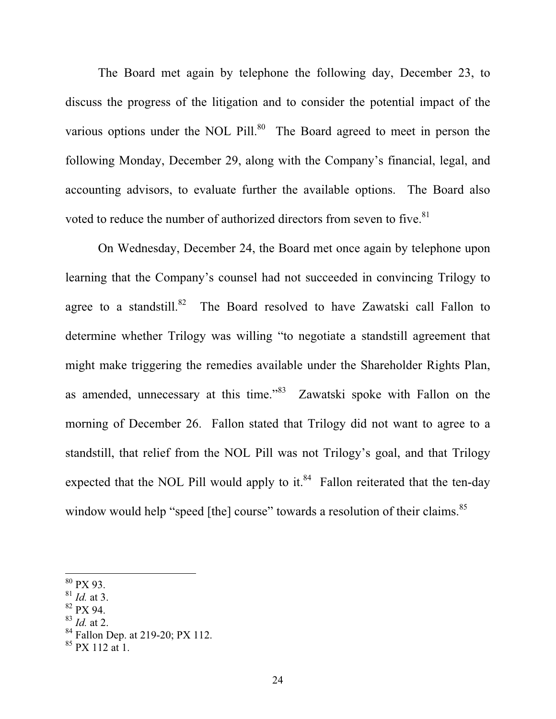The Board met again by telephone the following day, December 23, to discuss the progress of the litigation and to consider the potential impact of the various options under the NOL Pill.<sup>80</sup> The Board agreed to meet in person the following Monday, December 29, along with the Company's financial, legal, and accounting advisors, to evaluate further the available options. The Board also voted to reduce the number of authorized directors from seven to five.<sup>81</sup>

On Wednesday, December 24, the Board met once again by telephone upon learning that the Company's counsel had not succeeded in convincing Trilogy to agree to a standstill.<sup>82</sup> The Board resolved to have Zawatski call Fallon to determine whether Trilogy was willing "to negotiate a standstill agreement that might make triggering the remedies available under the Shareholder Rights Plan, as amended, unnecessary at this time."83 Zawatski spoke with Fallon on the morning of December 26. Fallon stated that Trilogy did not want to agree to a standstill, that relief from the NOL Pill was not Trilogy's goal, and that Trilogy expected that the NOL Pill would apply to it. $84$  Fallon reiterated that the ten-day window would help "speed [the] course" towards a resolution of their claims.<sup>85</sup>

- 82 PX 94.
- <sup>83</sup> *Id.* at 2.

 $80$  PX 93.

<sup>81</sup> *Id.* at 3.

<sup>&</sup>lt;sup>84</sup> Fallon Dep. at 219-20; PX 112.

 $85$  PX 112 at 1.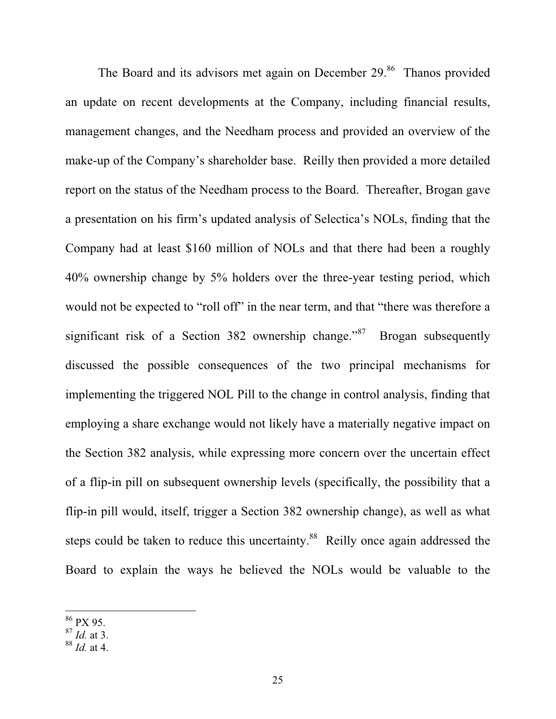The Board and its advisors met again on December 29.<sup>86</sup> Thanos provided an update on recent developments at the Company, including financial results, management changes, and the Needham process and provided an overview of the make-up of the Company's shareholder base. Reilly then provided a more detailed report on the status of the Needham process to the Board. Thereafter, Brogan gave a presentation on his firm's updated analysis of Selectica's NOLs, finding that the Company had at least \$160 million of NOLs and that there had been a roughly 40% ownership change by 5% holders over the three-year testing period, which would not be expected to "roll off" in the near term, and that "there was therefore a significant risk of a Section 382 ownership change."<sup>87</sup> Brogan subsequently discussed the possible consequences of the two principal mechanisms for implementing the triggered NOL Pill to the change in control analysis, finding that employing a share exchange would not likely have a materially negative impact on the Section 382 analysis, while expressing more concern over the uncertain effect of a flip-in pill on subsequent ownership levels (specifically, the possibility that a flip-in pill would, itself, trigger a Section 382 ownership change), as well as what steps could be taken to reduce this uncertainty.<sup>88</sup> Reilly once again addressed the Board to explain the ways he believed the NOLs would be valuable to the

<sup>&</sup>lt;sup>86</sup> PX 95.

 $87 \overline{1}$ *Id.* at 3.

<sup>88</sup> *Id.* at 4.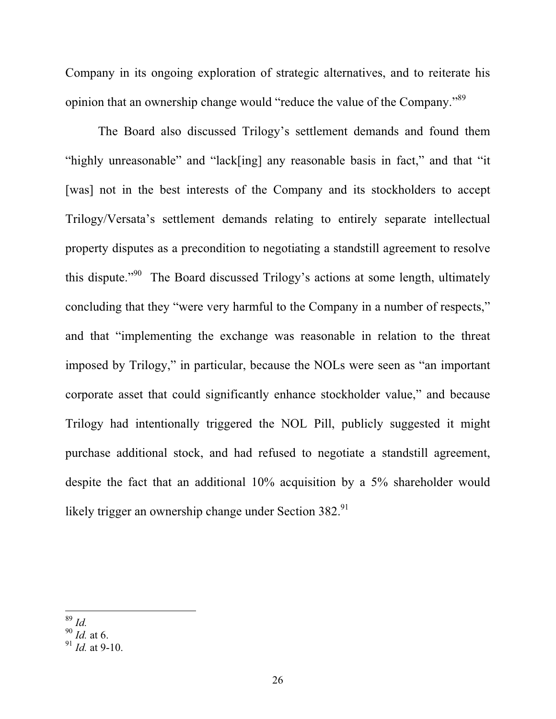Company in its ongoing exploration of strategic alternatives, and to reiterate his opinion that an ownership change would "reduce the value of the Company."89

The Board also discussed Trilogy's settlement demands and found them "highly unreasonable" and "lack[ing] any reasonable basis in fact," and that "it [was] not in the best interests of the Company and its stockholders to accept Trilogy/Versata's settlement demands relating to entirely separate intellectual property disputes as a precondition to negotiating a standstill agreement to resolve this dispute."90 The Board discussed Trilogy's actions at some length, ultimately concluding that they "were very harmful to the Company in a number of respects," and that "implementing the exchange was reasonable in relation to the threat imposed by Trilogy," in particular, because the NOLs were seen as "an important corporate asset that could significantly enhance stockholder value," and because Trilogy had intentionally triggered the NOL Pill, publicly suggested it might purchase additional stock, and had refused to negotiate a standstill agreement, despite the fact that an additional 10% acquisition by a 5% shareholder would likely trigger an ownership change under Section  $382.^{91}$ 

<sup>89</sup> *Id.*

<sup>90</sup> *Id.* at 6.

<sup>91</sup> *Id.* at 9-10.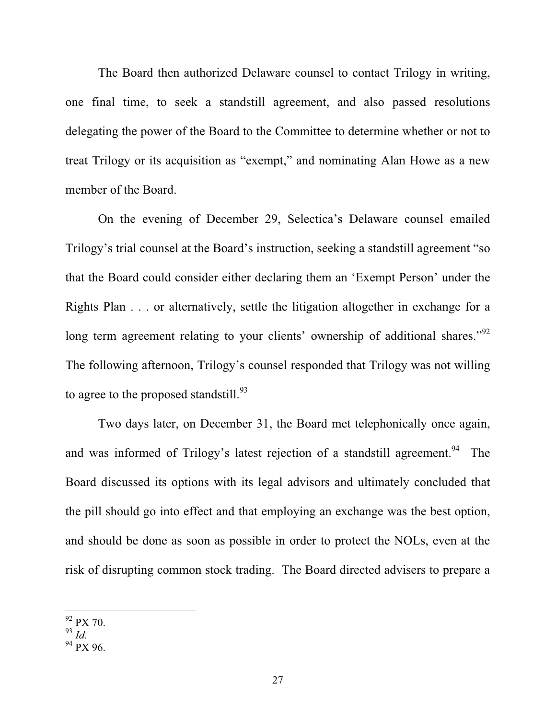The Board then authorized Delaware counsel to contact Trilogy in writing, one final time, to seek a standstill agreement, and also passed resolutions delegating the power of the Board to the Committee to determine whether or not to treat Trilogy or its acquisition as "exempt," and nominating Alan Howe as a new member of the Board.

On the evening of December 29, Selectica's Delaware counsel emailed Trilogy's trial counsel at the Board's instruction, seeking a standstill agreement "so that the Board could consider either declaring them an 'Exempt Person' under the Rights Plan . . . or alternatively, settle the litigation altogether in exchange for a long term agreement relating to your clients' ownership of additional shares."<sup>92</sup> The following afternoon, Trilogy's counsel responded that Trilogy was not willing to agree to the proposed standstill.<sup>93</sup>

Two days later, on December 31, the Board met telephonically once again, and was informed of Trilogy's latest rejection of a standstill agreement.<sup>94</sup> The Board discussed its options with its legal advisors and ultimately concluded that the pill should go into effect and that employing an exchange was the best option, and should be done as soon as possible in order to protect the NOLs, even at the risk of disrupting common stock trading. The Board directed advisers to prepare a

 $92$  PX 70.

<sup>93</sup> *Id.*

<sup>&</sup>lt;sup>94</sup> PX 96.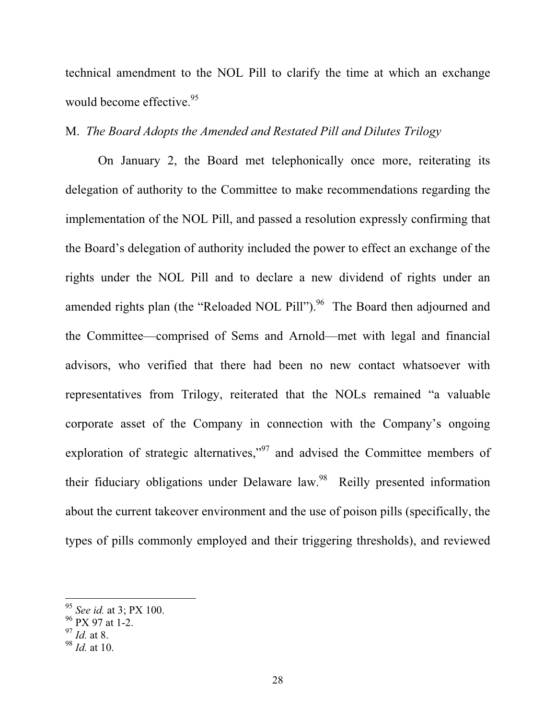technical amendment to the NOL Pill to clarify the time at which an exchange would become effective.<sup>95</sup>

### M. *The Board Adopts the Amended and Restated Pill and Dilutes Trilogy*

On January 2, the Board met telephonically once more, reiterating its delegation of authority to the Committee to make recommendations regarding the implementation of the NOL Pill, and passed a resolution expressly confirming that the Board's delegation of authority included the power to effect an exchange of the rights under the NOL Pill and to declare a new dividend of rights under an amended rights plan (the "Reloaded NOL Pill").<sup>96</sup> The Board then adjourned and the Committee—comprised of Sems and Arnold—met with legal and financial advisors, who verified that there had been no new contact whatsoever with representatives from Trilogy, reiterated that the NOLs remained "a valuable corporate asset of the Company in connection with the Company's ongoing exploration of strategic alternatives,"<sup>97</sup> and advised the Committee members of their fiduciary obligations under Delaware law.<sup>98</sup> Reilly presented information about the current takeover environment and the use of poison pills (specifically, the types of pills commonly employed and their triggering thresholds), and reviewed

<sup>95</sup> *See id.* at 3; PX 100.

 $96$  PX 97 at 1-2.

<sup>97</sup> *Id.* at 8.

<sup>98</sup> *Id.* at 10.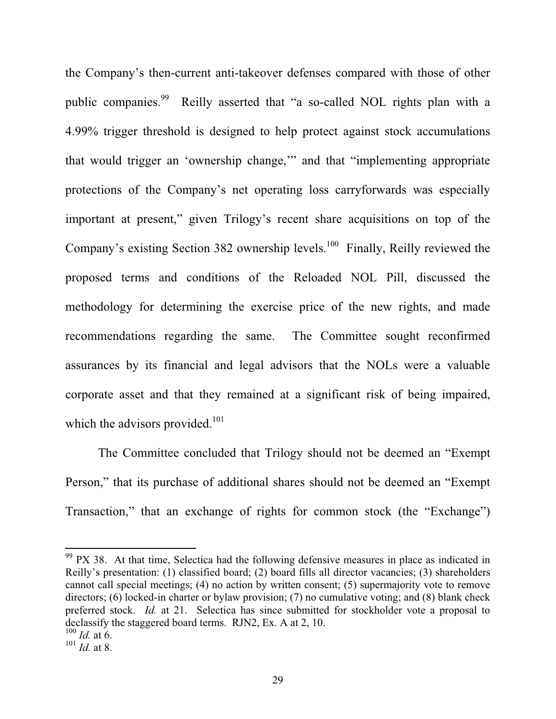the Company's then-current anti-takeover defenses compared with those of other public companies.<sup>99</sup> Reilly asserted that "a so-called NOL rights plan with a 4.99% trigger threshold is designed to help protect against stock accumulations that would trigger an 'ownership change,'" and that "implementing appropriate protections of the Company's net operating loss carryforwards was especially important at present," given Trilogy's recent share acquisitions on top of the Company's existing Section 382 ownership levels.<sup>100</sup> Finally, Reilly reviewed the proposed terms and conditions of the Reloaded NOL Pill, discussed the methodology for determining the exercise price of the new rights, and made recommendations regarding the same. The Committee sought reconfirmed assurances by its financial and legal advisors that the NOLs were a valuable corporate asset and that they remained at a significant risk of being impaired, which the advisors provided. $101$ 

The Committee concluded that Trilogy should not be deemed an "Exempt Person," that its purchase of additional shares should not be deemed an "Exempt Transaction," that an exchange of rights for common stock (the "Exchange")

 $99$  PX 38. At that time, Selectica had the following defensive measures in place as indicated in Reilly's presentation: (1) classified board; (2) board fills all director vacancies; (3) shareholders cannot call special meetings; (4) no action by written consent; (5) supermajority vote to remove directors; (6) locked-in charter or bylaw provision; (7) no cumulative voting; and (8) blank check preferred stock. *Id.* at 21. Selectica has since submitted for stockholder vote a proposal to declassify the staggered board terms. RJN2, Ex. A at 2, 10.

 $100$  *Id.* at 6.

 $101$  *Id.* at 8.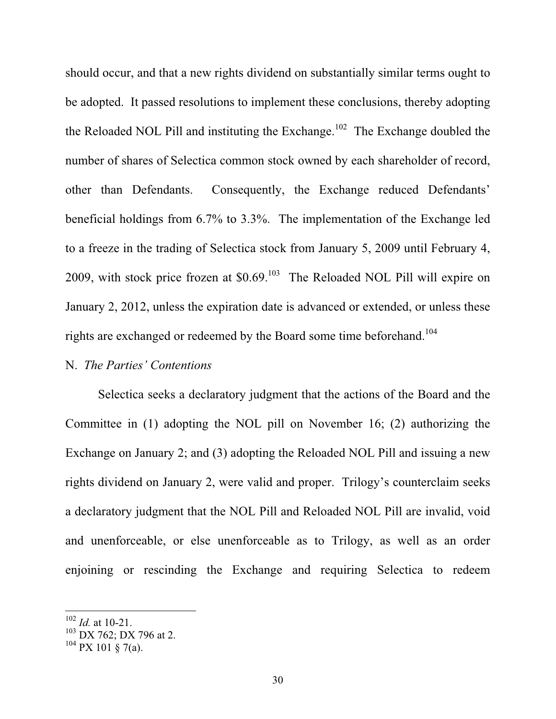should occur, and that a new rights dividend on substantially similar terms ought to be adopted. It passed resolutions to implement these conclusions, thereby adopting the Reloaded NOL Pill and instituting the Exchange.<sup>102</sup> The Exchange doubled the number of shares of Selectica common stock owned by each shareholder of record, other than Defendants. Consequently, the Exchange reduced Defendants' beneficial holdings from 6.7% to 3.3%. The implementation of the Exchange led to a freeze in the trading of Selectica stock from January 5, 2009 until February 4, 2009, with stock price frozen at  $$0.69$ <sup>103</sup> The Reloaded NOL Pill will expire on January 2, 2012, unless the expiration date is advanced or extended, or unless these rights are exchanged or redeemed by the Board some time beforehand.<sup>104</sup>

#### N. *The Parties' Contentions*

Selectica seeks a declaratory judgment that the actions of the Board and the Committee in (1) adopting the NOL pill on November 16; (2) authorizing the Exchange on January 2; and (3) adopting the Reloaded NOL Pill and issuing a new rights dividend on January 2, were valid and proper. Trilogy's counterclaim seeks a declaratory judgment that the NOL Pill and Reloaded NOL Pill are invalid, void and unenforceable, or else unenforceable as to Trilogy, as well as an order enjoining or rescinding the Exchange and requiring Selectica to redeem

<sup>102</sup> *Id.* at 10-21.

<sup>&</sup>lt;sup>103</sup> DX 762; DX 796 at 2.

 $104 \text{ PX } 101 \text{ \& } 7(a)$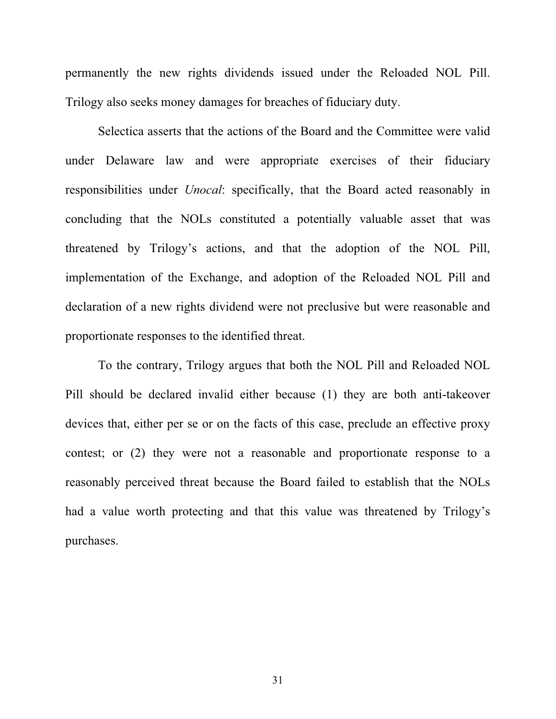permanently the new rights dividends issued under the Reloaded NOL Pill. Trilogy also seeks money damages for breaches of fiduciary duty.

Selectica asserts that the actions of the Board and the Committee were valid under Delaware law and were appropriate exercises of their fiduciary responsibilities under *Unocal*: specifically, that the Board acted reasonably in concluding that the NOLs constituted a potentially valuable asset that was threatened by Trilogy's actions, and that the adoption of the NOL Pill, implementation of the Exchange, and adoption of the Reloaded NOL Pill and declaration of a new rights dividend were not preclusive but were reasonable and proportionate responses to the identified threat.

To the contrary, Trilogy argues that both the NOL Pill and Reloaded NOL Pill should be declared invalid either because (1) they are both anti-takeover devices that, either per se or on the facts of this case, preclude an effective proxy contest; or (2) they were not a reasonable and proportionate response to a reasonably perceived threat because the Board failed to establish that the NOLs had a value worth protecting and that this value was threatened by Trilogy's purchases.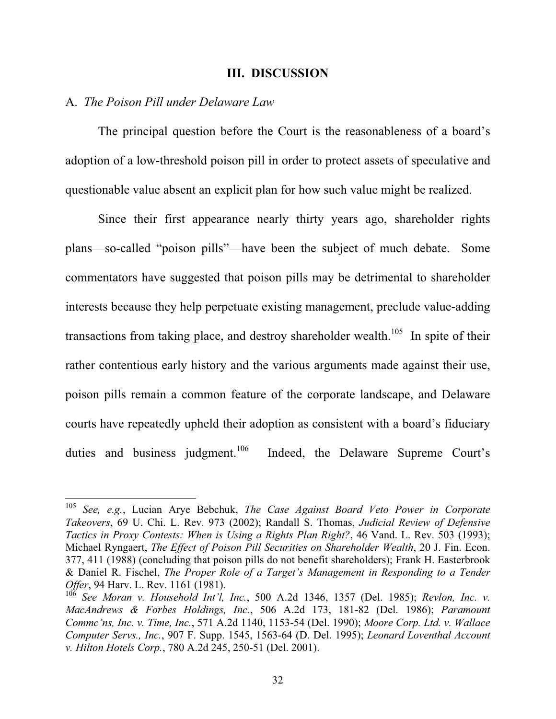#### **III. DISCUSSION**

#### A. *The Poison Pill under Delaware Law*

The principal question before the Court is the reasonableness of a board's adoption of a low-threshold poison pill in order to protect assets of speculative and questionable value absent an explicit plan for how such value might be realized.

Since their first appearance nearly thirty years ago, shareholder rights plans—so-called "poison pills"—have been the subject of much debate. Some commentators have suggested that poison pills may be detrimental to shareholder interests because they help perpetuate existing management, preclude value-adding transactions from taking place, and destroy shareholder wealth.<sup>105</sup> In spite of their rather contentious early history and the various arguments made against their use, poison pills remain a common feature of the corporate landscape, and Delaware courts have repeatedly upheld their adoption as consistent with a board's fiduciary duties and business judgment.<sup>106</sup> Indeed, the Delaware Supreme Court's

<sup>105</sup> *See, e.g.*, Lucian Arye Bebchuk, *The Case Against Board Veto Power in Corporate Takeovers*, 69 U. Chi. L. Rev. 973 (2002); Randall S. Thomas, *Judicial Review of Defensive Tactics in Proxy Contests: When is Using a Rights Plan Right?*, 46 Vand. L. Rev. 503 (1993); Michael Ryngaert, *The Effect of Poison Pill Securities on Shareholder Wealth*, 20 J. Fin. Econ. 377, 411 (1988) (concluding that poison pills do not benefit shareholders); Frank H. Easterbrook & Daniel R. Fischel, *The Proper Role of a Target's Management in Responding to a Tender Offer*, 94 Harv. L. Rev. 1161 (1981).

<sup>106</sup> *See Moran v. Household Int'l, Inc.*, 500 A.2d 1346, 1357 (Del. 1985); *Revlon, Inc. v. MacAndrews & Forbes Holdings, Inc.*, 506 A.2d 173, 181-82 (Del. 1986); *Paramount Commc'ns, Inc. v. Time, Inc.*, 571 A.2d 1140, 1153-54 (Del. 1990); *Moore Corp. Ltd. v. Wallace Computer Servs., Inc.*, 907 F. Supp. 1545, 1563-64 (D. Del. 1995); *Leonard Loventhal Account v. Hilton Hotels Corp.*, 780 A.2d 245, 250-51 (Del. 2001).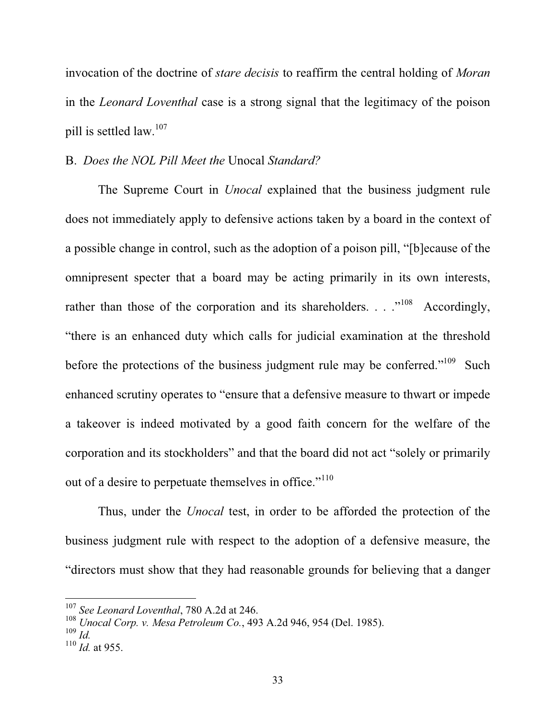invocation of the doctrine of *stare decisis* to reaffirm the central holding of *Moran* in the *Leonard Loventhal* case is a strong signal that the legitimacy of the poison pill is settled law.<sup>107</sup>

### B. *Does the NOL Pill Meet the* Unocal *Standard?*

The Supreme Court in *Unocal* explained that the business judgment rule does not immediately apply to defensive actions taken by a board in the context of a possible change in control, such as the adoption of a poison pill, "[b]ecause of the omnipresent specter that a board may be acting primarily in its own interests, rather than those of the corporation and its shareholders.  $\ldots$ <sup>108</sup> Accordingly, "there is an enhanced duty which calls for judicial examination at the threshold before the protections of the business judgment rule may be conferred."<sup>109</sup> Such enhanced scrutiny operates to "ensure that a defensive measure to thwart or impede a takeover is indeed motivated by a good faith concern for the welfare of the corporation and its stockholders" and that the board did not act "solely or primarily out of a desire to perpetuate themselves in office."<sup>110</sup>

Thus, under the *Unocal* test, in order to be afforded the protection of the business judgment rule with respect to the adoption of a defensive measure, the "directors must show that they had reasonable grounds for believing that a danger

<sup>107</sup> *See Leonard Loventhal*, 780 A.2d at 246.

<sup>108</sup> *Unocal Corp. v. Mesa Petroleum Co.*, 493 A.2d 946, 954 (Del. 1985).

 $109$  *Id.* 

 $110$  *Id.* at 955.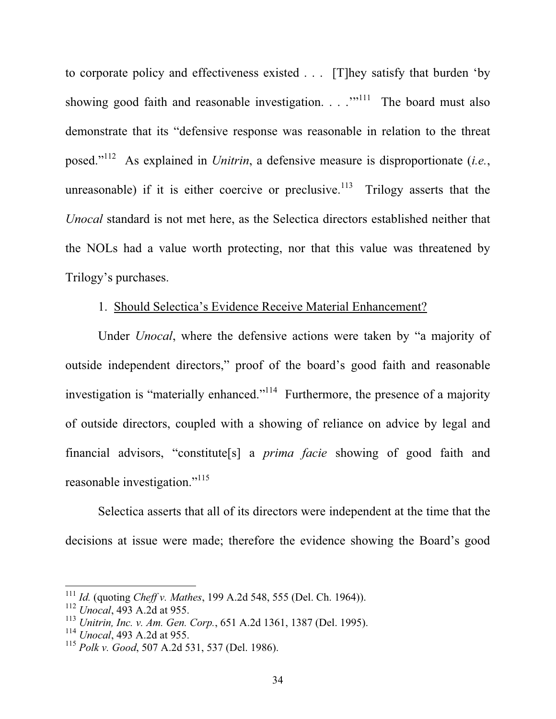to corporate policy and effectiveness existed . . . [T]hey satisfy that burden 'by showing good faith and reasonable investigation.  $\ldots$ <sup>"111</sup> The board must also demonstrate that its "defensive response was reasonable in relation to the threat posed."112 As explained in *Unitrin*, a defensive measure is disproportionate (*i.e.*, unreasonable) if it is either coercive or preclusive.<sup>113</sup> Trilogy asserts that the *Unocal* standard is not met here, as the Selectica directors established neither that the NOLs had a value worth protecting, nor that this value was threatened by Trilogy's purchases.

# 1. Should Selectica's Evidence Receive Material Enhancement?

 Under *Unocal*, where the defensive actions were taken by "a majority of outside independent directors," proof of the board's good faith and reasonable investigation is "materially enhanced."<sup>114</sup> Furthermore, the presence of a majority of outside directors, coupled with a showing of reliance on advice by legal and financial advisors, "constitute[s] a *prima facie* showing of good faith and reasonable investigation."<sup>115</sup>

Selectica asserts that all of its directors were independent at the time that the decisions at issue were made; therefore the evidence showing the Board's good

<sup>111</sup> *Id.* (quoting *Cheff v. Mathes*, 199 A.2d 548, 555 (Del. Ch. 1964)).

<sup>112</sup> *Unocal*, 493 A.2d at 955.

<sup>113</sup> *Unitrin, Inc. v. Am. Gen. Corp.*, 651 A.2d 1361, 1387 (Del. 1995).

<sup>114</sup> *Unocal*, 493 A.2d at 955.

<sup>115</sup> *Polk v. Good*, 507 A.2d 531, 537 (Del. 1986).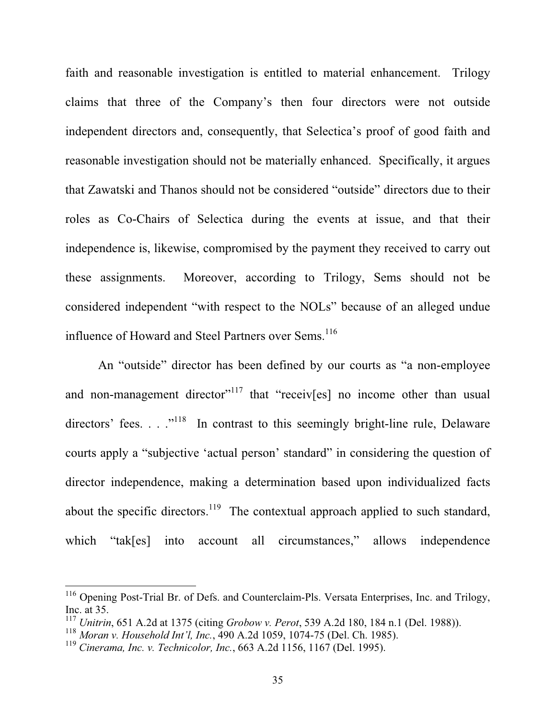faith and reasonable investigation is entitled to material enhancement. Trilogy claims that three of the Company's then four directors were not outside independent directors and, consequently, that Selectica's proof of good faith and reasonable investigation should not be materially enhanced. Specifically, it argues that Zawatski and Thanos should not be considered "outside" directors due to their roles as Co-Chairs of Selectica during the events at issue, and that their independence is, likewise, compromised by the payment they received to carry out these assignments. Moreover, according to Trilogy, Sems should not be considered independent "with respect to the NOLs" because of an alleged undue influence of Howard and Steel Partners over Sems.<sup>116</sup>

An "outside" director has been defined by our courts as "a non-employee and non-management director<sup> $117$ </sup> that "receiver  $\lfloor$  no income other than usual directors' fees.  $\ldots$ <sup>118</sup> In contrast to this seemingly bright-line rule, Delaware courts apply a "subjective 'actual person' standard" in considering the question of director independence, making a determination based upon individualized facts about the specific directors.<sup>119</sup> The contextual approach applied to such standard, which "tak[es] into account all circumstances," allows independence

<sup>116</sup> Opening Post-Trial Br. of Defs. and Counterclaim-Pls. Versata Enterprises, Inc. and Trilogy, Inc. at 35.

<sup>117</sup> *Unitrin*, 651 A.2d at 1375 (citing *Grobow v. Perot*, 539 A.2d 180, 184 n.1 (Del. 1988)).

<sup>118</sup> *Moran v. Household Int'l, Inc.*, 490 A.2d 1059, 1074-75 (Del. Ch. 1985).

<sup>119</sup> *Cinerama, Inc. v. Technicolor, Inc.*, 663 A.2d 1156, 1167 (Del. 1995).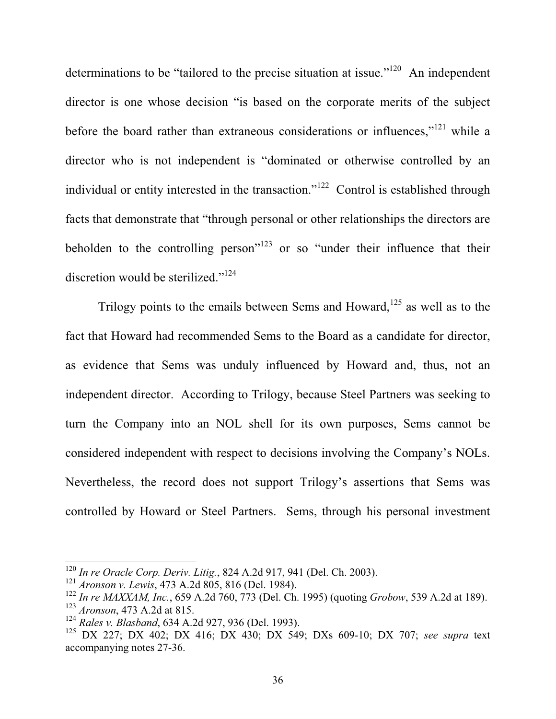determinations to be "tailored to the precise situation at issue."<sup>120</sup> An independent director is one whose decision "is based on the corporate merits of the subject before the board rather than extraneous considerations or influences," $121$  while a director who is not independent is "dominated or otherwise controlled by an individual or entity interested in the transaction."<sup>122</sup> Control is established through facts that demonstrate that "through personal or other relationships the directors are beholden to the controlling person"<sup>123</sup> or so "under their influence that their discretion would be sterilized."<sup>124</sup>

Trilogy points to the emails between Sems and Howard, $125$  as well as to the fact that Howard had recommended Sems to the Board as a candidate for director, as evidence that Sems was unduly influenced by Howard and, thus, not an independent director. According to Trilogy, because Steel Partners was seeking to turn the Company into an NOL shell for its own purposes, Sems cannot be considered independent with respect to decisions involving the Company's NOLs. Nevertheless, the record does not support Trilogy's assertions that Sems was controlled by Howard or Steel Partners. Sems, through his personal investment

<sup>120</sup> *In re Oracle Corp. Deriv. Litig.*, 824 A.2d 917, 941 (Del. Ch. 2003).

<sup>121</sup> *Aronson v. Lewis*, 473 A.2d 805, 816 (Del. 1984).

<sup>122</sup> *In re MAXXAM, Inc.*, 659 A.2d 760, 773 (Del. Ch. 1995) (quoting *Grobow*, 539 A.2d at 189).

<sup>123</sup> *Aronson*, 473 A.2d at 815.

<sup>124</sup> *Rales v. Blasband*, 634 A.2d 927, 936 (Del. 1993).

<sup>125</sup> DX 227; DX 402; DX 416; DX 430; DX 549; DXs 609-10; DX 707; *see supra* text accompanying notes 27-36.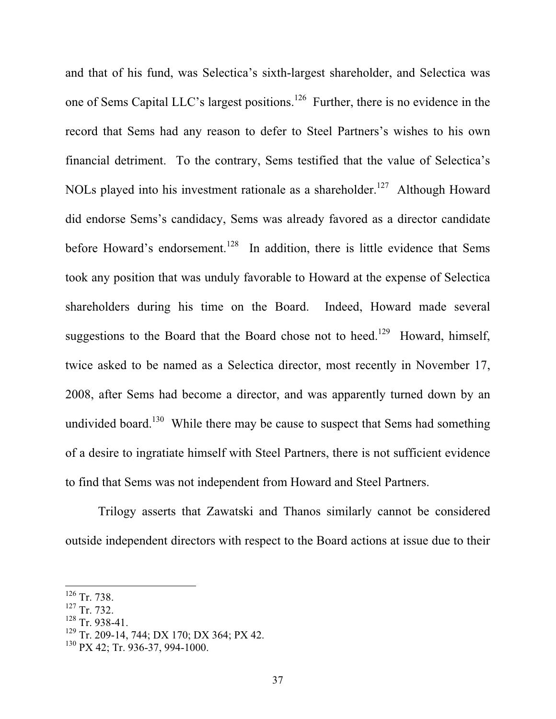and that of his fund, was Selectica's sixth-largest shareholder, and Selectica was one of Sems Capital LLC's largest positions.<sup>126</sup> Further, there is no evidence in the record that Sems had any reason to defer to Steel Partners's wishes to his own financial detriment. To the contrary, Sems testified that the value of Selectica's NOLs played into his investment rationale as a shareholder.<sup>127</sup> Although Howard did endorse Sems's candidacy, Sems was already favored as a director candidate before Howard's endorsement.<sup>128</sup> In addition, there is little evidence that Sems took any position that was unduly favorable to Howard at the expense of Selectica shareholders during his time on the Board. Indeed, Howard made several suggestions to the Board that the Board chose not to heed.<sup>129</sup> Howard, himself, twice asked to be named as a Selectica director, most recently in November 17, 2008, after Sems had become a director, and was apparently turned down by an undivided board.<sup>130</sup> While there may be cause to suspect that Sems had something of a desire to ingratiate himself with Steel Partners, there is not sufficient evidence to find that Sems was not independent from Howard and Steel Partners.

Trilogy asserts that Zawatski and Thanos similarly cannot be considered outside independent directors with respect to the Board actions at issue due to their

 $128$  Tr. 938-41.

<sup>126</sup> Tr. 738.

<sup>127</sup> Tr. 732.

<sup>&</sup>lt;sup>129</sup> Tr. 209-14, 744; DX 170; DX 364; PX 42.

<sup>130</sup> PX 42; Tr. 936-37, 994-1000.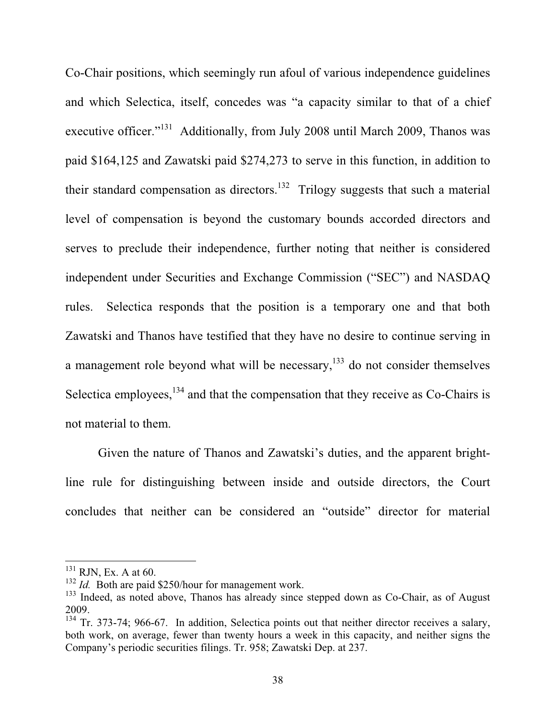Co-Chair positions, which seemingly run afoul of various independence guidelines and which Selectica, itself, concedes was "a capacity similar to that of a chief executive officer."<sup>131</sup> Additionally, from July 2008 until March 2009, Thanos was paid \$164,125 and Zawatski paid \$274,273 to serve in this function, in addition to their standard compensation as directors.<sup>132</sup> Trilogy suggests that such a material level of compensation is beyond the customary bounds accorded directors and serves to preclude their independence, further noting that neither is considered independent under Securities and Exchange Commission ("SEC") and NASDAQ rules. Selectica responds that the position is a temporary one and that both Zawatski and Thanos have testified that they have no desire to continue serving in a management role beyond what will be necessary, $133$  do not consider themselves Selectica employees, $134$  and that the compensation that they receive as Co-Chairs is not material to them.

Given the nature of Thanos and Zawatski's duties, and the apparent brightline rule for distinguishing between inside and outside directors, the Court concludes that neither can be considered an "outside" director for material

 $^{131}$  RJN, Ex. A at 60.

<sup>&</sup>lt;sup>132</sup> *Id.* Both are paid \$250/hour for management work.

<sup>&</sup>lt;sup>133</sup> Indeed, as noted above, Thanos has already since stepped down as Co-Chair, as of August 2009.

<sup>&</sup>lt;sup>134</sup> Tr. 373-74; 966-67. In addition, Selectica points out that neither director receives a salary, both work, on average, fewer than twenty hours a week in this capacity, and neither signs the Company's periodic securities filings. Tr. 958; Zawatski Dep. at 237.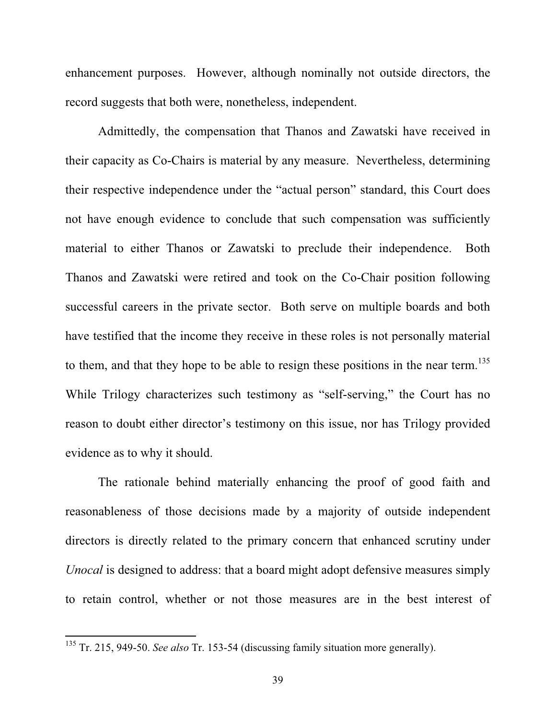enhancement purposes. However, although nominally not outside directors, the record suggests that both were, nonetheless, independent.

Admittedly, the compensation that Thanos and Zawatski have received in their capacity as Co-Chairs is material by any measure. Nevertheless, determining their respective independence under the "actual person" standard, this Court does not have enough evidence to conclude that such compensation was sufficiently material to either Thanos or Zawatski to preclude their independence. Both Thanos and Zawatski were retired and took on the Co-Chair position following successful careers in the private sector. Both serve on multiple boards and both have testified that the income they receive in these roles is not personally material to them, and that they hope to be able to resign these positions in the near term.<sup>135</sup> While Trilogy characterizes such testimony as "self-serving," the Court has no reason to doubt either director's testimony on this issue, nor has Trilogy provided evidence as to why it should.

The rationale behind materially enhancing the proof of good faith and reasonableness of those decisions made by a majority of outside independent directors is directly related to the primary concern that enhanced scrutiny under *Unocal* is designed to address: that a board might adopt defensive measures simply to retain control, whether or not those measures are in the best interest of

<sup>135</sup> Tr. 215, 949-50. *See also* Tr. 153-54 (discussing family situation more generally).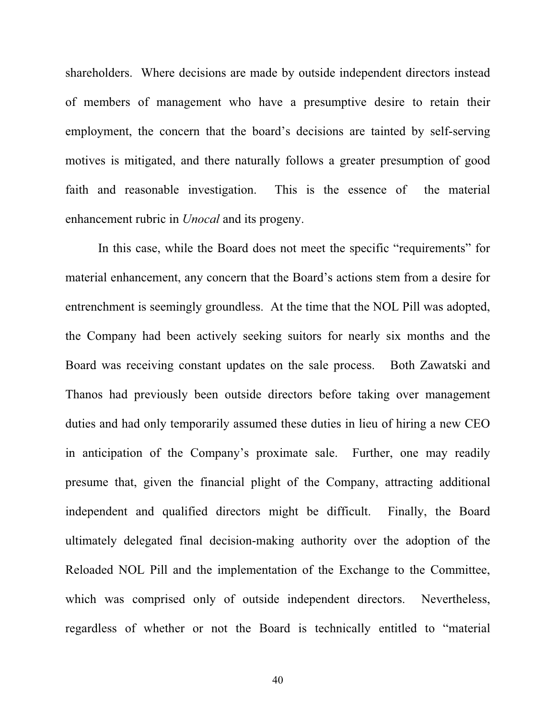shareholders. Where decisions are made by outside independent directors instead of members of management who have a presumptive desire to retain their employment, the concern that the board's decisions are tainted by self-serving motives is mitigated, and there naturally follows a greater presumption of good faith and reasonable investigation. This is the essence of the material enhancement rubric in *Unocal* and its progeny.

In this case, while the Board does not meet the specific "requirements" for material enhancement, any concern that the Board's actions stem from a desire for entrenchment is seemingly groundless. At the time that the NOL Pill was adopted, the Company had been actively seeking suitors for nearly six months and the Board was receiving constant updates on the sale process. Both Zawatski and Thanos had previously been outside directors before taking over management duties and had only temporarily assumed these duties in lieu of hiring a new CEO in anticipation of the Company's proximate sale. Further, one may readily presume that, given the financial plight of the Company, attracting additional independent and qualified directors might be difficult. Finally, the Board ultimately delegated final decision-making authority over the adoption of the Reloaded NOL Pill and the implementation of the Exchange to the Committee, which was comprised only of outside independent directors. Nevertheless, regardless of whether or not the Board is technically entitled to "material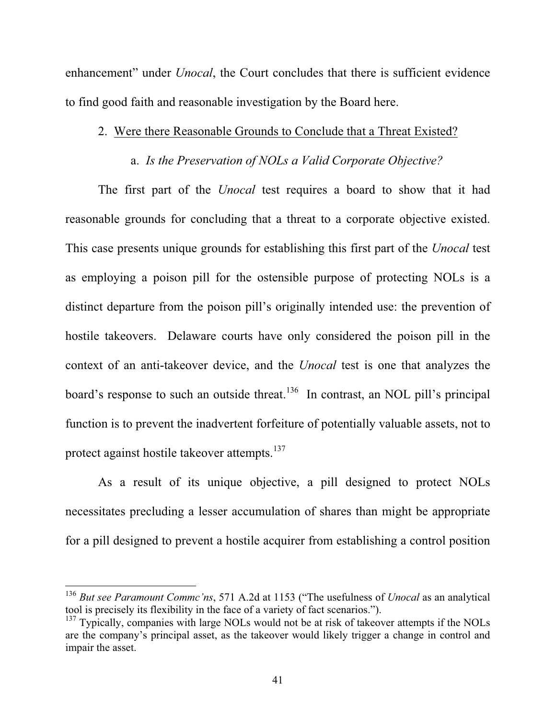enhancement" under *Unocal*, the Court concludes that there is sufficient evidence to find good faith and reasonable investigation by the Board here.

### 2. Were there Reasonable Grounds to Conclude that a Threat Existed?

## a. *Is the Preservation of NOLs a Valid Corporate Objective?*

The first part of the *Unocal* test requires a board to show that it had reasonable grounds for concluding that a threat to a corporate objective existed. This case presents unique grounds for establishing this first part of the *Unocal* test as employing a poison pill for the ostensible purpose of protecting NOLs is a distinct departure from the poison pill's originally intended use: the prevention of hostile takeovers. Delaware courts have only considered the poison pill in the context of an anti-takeover device, and the *Unocal* test is one that analyzes the board's response to such an outside threat.<sup>136</sup> In contrast, an NOL pill's principal function is to prevent the inadvertent forfeiture of potentially valuable assets, not to protect against hostile takeover attempts.<sup>137</sup>

As a result of its unique objective, a pill designed to protect NOLs necessitates precluding a lesser accumulation of shares than might be appropriate for a pill designed to prevent a hostile acquirer from establishing a control position

<sup>136</sup> *But see Paramount Commc'ns*, 571 A.2d at 1153 ("The usefulness of *Unocal* as an analytical tool is precisely its flexibility in the face of a variety of fact scenarios.").

 $137$  Typically, companies with large NOLs would not be at risk of takeover attempts if the NOLs are the company's principal asset, as the takeover would likely trigger a change in control and impair the asset.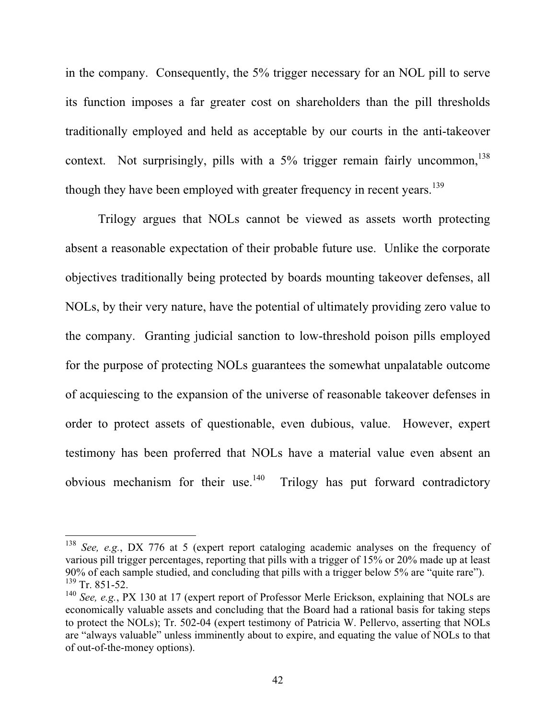in the company. Consequently, the 5% trigger necessary for an NOL pill to serve its function imposes a far greater cost on shareholders than the pill thresholds traditionally employed and held as acceptable by our courts in the anti-takeover context. Not surprisingly, pills with a  $5\%$  trigger remain fairly uncommon,  $138$ though they have been employed with greater frequency in recent years.<sup>139</sup>

Trilogy argues that NOLs cannot be viewed as assets worth protecting absent a reasonable expectation of their probable future use. Unlike the corporate objectives traditionally being protected by boards mounting takeover defenses, all NOLs, by their very nature, have the potential of ultimately providing zero value to the company. Granting judicial sanction to low-threshold poison pills employed for the purpose of protecting NOLs guarantees the somewhat unpalatable outcome of acquiescing to the expansion of the universe of reasonable takeover defenses in order to protect assets of questionable, even dubious, value. However, expert testimony has been proferred that NOLs have a material value even absent an obvious mechanism for their use.<sup>140</sup> Trilogy has put forward contradictory

<sup>138</sup> *See, e.g.*, DX 776 at 5 (expert report cataloging academic analyses on the frequency of various pill trigger percentages, reporting that pills with a trigger of 15% or 20% made up at least 90% of each sample studied, and concluding that pills with a trigger below 5% are "quite rare").  $139$  Tr. 851-52.

<sup>&</sup>lt;sup>140</sup> *See, e.g.*, PX 130 at 17 (expert report of Professor Merle Erickson, explaining that NOLs are economically valuable assets and concluding that the Board had a rational basis for taking steps to protect the NOLs); Tr. 502-04 (expert testimony of Patricia W. Pellervo, asserting that NOLs are "always valuable" unless imminently about to expire, and equating the value of NOLs to that of out-of-the-money options).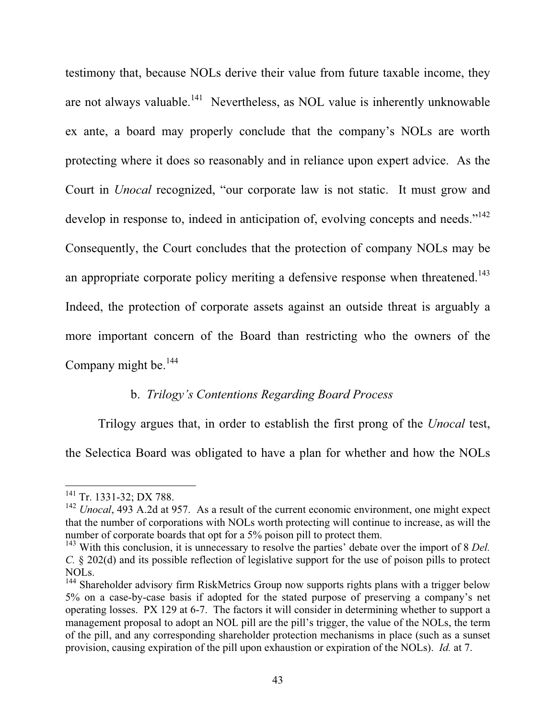testimony that, because NOLs derive their value from future taxable income, they are not always valuable.<sup>141</sup> Nevertheless, as NOL value is inherently unknowable ex ante, a board may properly conclude that the company's NOLs are worth protecting where it does so reasonably and in reliance upon expert advice. As the Court in *Unocal* recognized, "our corporate law is not static. It must grow and develop in response to, indeed in anticipation of, evolving concepts and needs."<sup>142</sup> Consequently, the Court concludes that the protection of company NOLs may be an appropriate corporate policy meriting a defensive response when threatened.<sup>143</sup> Indeed, the protection of corporate assets against an outside threat is arguably a more important concern of the Board than restricting who the owners of the Company might be.<sup>144</sup>

## b. *Trilogy's Contentions Regarding Board Process*

Trilogy argues that, in order to establish the first prong of the *Unocal* test, the Selectica Board was obligated to have a plan for whether and how the NOLs

<sup>&</sup>lt;sup>141</sup> Tr. 1331-32; DX 788.

<sup>&</sup>lt;sup>142</sup> *Unocal*, 493 A.2d at 957. As a result of the current economic environment, one might expect that the number of corporations with NOLs worth protecting will continue to increase, as will the number of corporate boards that opt for a 5% poison pill to protect them.

<sup>143</sup> With this conclusion, it is unnecessary to resolve the parties' debate over the import of 8 *Del. C.* § 202(d) and its possible reflection of legislative support for the use of poison pills to protect NOLs.

<sup>&</sup>lt;sup>144</sup> Shareholder advisory firm RiskMetrics Group now supports rights plans with a trigger below 5% on a case-by-case basis if adopted for the stated purpose of preserving a company's net operating losses. PX 129 at 6-7. The factors it will consider in determining whether to support a management proposal to adopt an NOL pill are the pill's trigger, the value of the NOLs, the term of the pill, and any corresponding shareholder protection mechanisms in place (such as a sunset provision, causing expiration of the pill upon exhaustion or expiration of the NOLs). *Id.* at 7.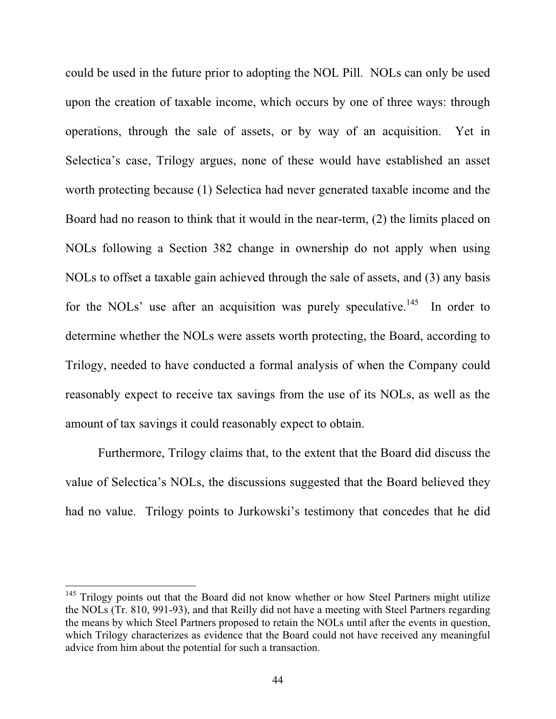could be used in the future prior to adopting the NOL Pill. NOLs can only be used upon the creation of taxable income, which occurs by one of three ways: through operations, through the sale of assets, or by way of an acquisition. Yet in Selectica's case, Trilogy argues, none of these would have established an asset worth protecting because (1) Selectica had never generated taxable income and the Board had no reason to think that it would in the near-term, (2) the limits placed on NOLs following a Section 382 change in ownership do not apply when using NOLs to offset a taxable gain achieved through the sale of assets, and (3) any basis for the NOLs' use after an acquisition was purely speculative.<sup>145</sup> In order to determine whether the NOLs were assets worth protecting, the Board, according to Trilogy, needed to have conducted a formal analysis of when the Company could reasonably expect to receive tax savings from the use of its NOLs, as well as the amount of tax savings it could reasonably expect to obtain.

Furthermore, Trilogy claims that, to the extent that the Board did discuss the value of Selectica's NOLs, the discussions suggested that the Board believed they had no value. Trilogy points to Jurkowski's testimony that concedes that he did

<sup>&</sup>lt;sup>145</sup> Trilogy points out that the Board did not know whether or how Steel Partners might utilize the NOLs (Tr. 810, 991-93), and that Reilly did not have a meeting with Steel Partners regarding the means by which Steel Partners proposed to retain the NOLs until after the events in question, which Trilogy characterizes as evidence that the Board could not have received any meaningful advice from him about the potential for such a transaction.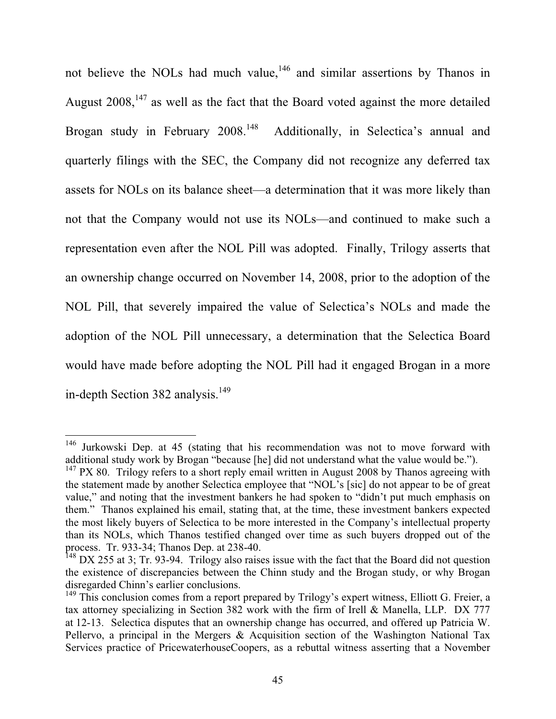not believe the NOLs had much value,<sup>146</sup> and similar assertions by Thanos in August  $2008$ ,  $147$  as well as the fact that the Board voted against the more detailed Brogan study in February 2008.<sup>148</sup> Additionally, in Selectica's annual and quarterly filings with the SEC, the Company did not recognize any deferred tax assets for NOLs on its balance sheet—a determination that it was more likely than not that the Company would not use its NOLs—and continued to make such a representation even after the NOL Pill was adopted. Finally, Trilogy asserts that an ownership change occurred on November 14, 2008, prior to the adoption of the NOL Pill, that severely impaired the value of Selectica's NOLs and made the adoption of the NOL Pill unnecessary, a determination that the Selectica Board would have made before adopting the NOL Pill had it engaged Brogan in a more in-depth Section 382 analysis.<sup>149</sup>

<sup>&</sup>lt;sup>146</sup> Jurkowski Dep. at 45 (stating that his recommendation was not to move forward with additional study work by Brogan "because [he] did not understand what the value would be.").

 $147$  PX 80. Trilogy refers to a short reply email written in August 2008 by Thanos agreeing with the statement made by another Selectica employee that "NOL's [sic] do not appear to be of great value," and noting that the investment bankers he had spoken to "didn't put much emphasis on them." Thanos explained his email, stating that, at the time, these investment bankers expected the most likely buyers of Selectica to be more interested in the Company's intellectual property than its NOLs, which Thanos testified changed over time as such buyers dropped out of the process. Tr. 933-34; Thanos Dep. at 238-40.

<sup>&</sup>lt;sup>148</sup> DX 255 at 3; Tr. 93-94. Trilogy also raises issue with the fact that the Board did not question the existence of discrepancies between the Chinn study and the Brogan study, or why Brogan disregarded Chinn's earlier conclusions.

<sup>&</sup>lt;sup>149</sup> This conclusion comes from a report prepared by Trilogy's expert witness, Elliott G. Freier, a tax attorney specializing in Section 382 work with the firm of Irell & Manella, LLP. DX 777 at 12-13. Selectica disputes that an ownership change has occurred, and offered up Patricia W. Pellervo, a principal in the Mergers & Acquisition section of the Washington National Tax Services practice of PricewaterhouseCoopers, as a rebuttal witness asserting that a November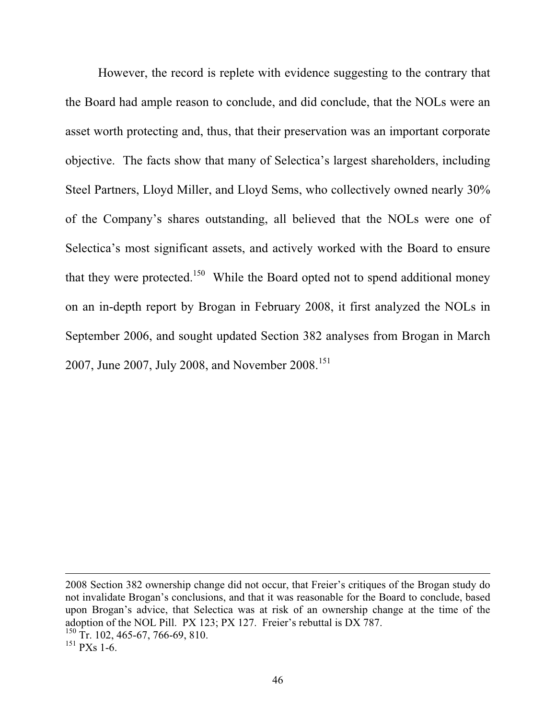However, the record is replete with evidence suggesting to the contrary that the Board had ample reason to conclude, and did conclude, that the NOLs were an asset worth protecting and, thus, that their preservation was an important corporate objective. The facts show that many of Selectica's largest shareholders, including Steel Partners, Lloyd Miller, and Lloyd Sems, who collectively owned nearly 30% of the Company's shares outstanding, all believed that the NOLs were one of Selectica's most significant assets, and actively worked with the Board to ensure that they were protected.<sup>150</sup> While the Board opted not to spend additional money on an in-depth report by Brogan in February 2008, it first analyzed the NOLs in September 2006, and sought updated Section 382 analyses from Brogan in March 2007, June 2007, July 2008, and November 2008.<sup>151</sup>

2008 Section 382 ownership change did not occur, that Freier's critiques of the Brogan study do not invalidate Brogan's conclusions, and that it was reasonable for the Board to conclude, based upon Brogan's advice, that Selectica was at risk of an ownership change at the time of the adoption of the NOL Pill. PX 123; PX 127. Freier's rebuttal is DX 787.

 $150$  Tr. 102, 465-67, 766-69, 810.

 $151$  PXs 1-6.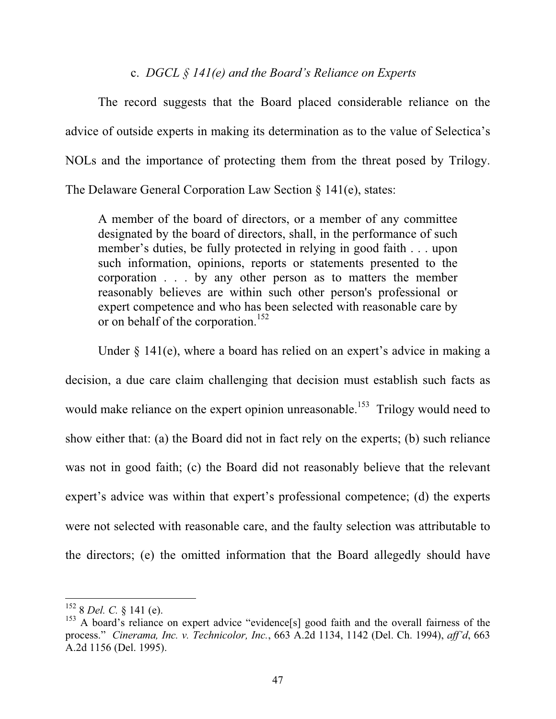### c. *DGCL § 141(e) and the Board's Reliance on Experts*

The record suggests that the Board placed considerable reliance on the advice of outside experts in making its determination as to the value of Selectica's NOLs and the importance of protecting them from the threat posed by Trilogy. The Delaware General Corporation Law Section § 141(e), states:

A member of the board of directors, or a member of any committee designated by the board of directors, shall, in the performance of such member's duties, be fully protected in relying in good faith . . . upon such information, opinions, reports or statements presented to the corporation . . . by any other person as to matters the member reasonably believes are within such other person's professional or expert competence and who has been selected with reasonable care by or on behalf of the corporation.<sup>152</sup>

Under § 141(e), where a board has relied on an expert's advice in making a decision, a due care claim challenging that decision must establish such facts as would make reliance on the expert opinion unreasonable.<sup>153</sup> Trilogy would need to show either that: (a) the Board did not in fact rely on the experts; (b) such reliance was not in good faith; (c) the Board did not reasonably believe that the relevant expert's advice was within that expert's professional competence; (d) the experts were not selected with reasonable care, and the faulty selection was attributable to the directors; (e) the omitted information that the Board allegedly should have

<sup>152 8</sup> *Del. C.* § 141 (e).

<sup>&</sup>lt;sup>153</sup> A board's reliance on expert advice "evidence[s] good faith and the overall fairness of the process." *Cinerama, Inc. v. Technicolor, Inc.*, 663 A.2d 1134, 1142 (Del. Ch. 1994), *aff'd*, 663 A.2d 1156 (Del. 1995).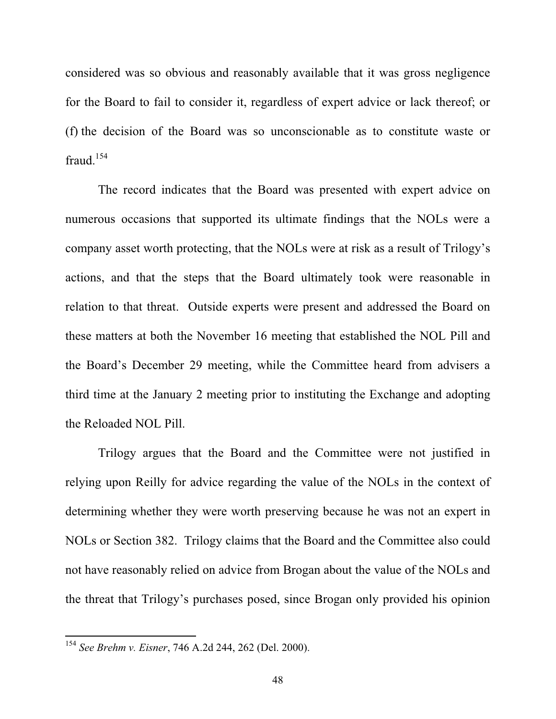considered was so obvious and reasonably available that it was gross negligence for the Board to fail to consider it, regardless of expert advice or lack thereof; or (f) the decision of the Board was so unconscionable as to constitute waste or fraud. $154$ 

The record indicates that the Board was presented with expert advice on numerous occasions that supported its ultimate findings that the NOLs were a company asset worth protecting, that the NOLs were at risk as a result of Trilogy's actions, and that the steps that the Board ultimately took were reasonable in relation to that threat. Outside experts were present and addressed the Board on these matters at both the November 16 meeting that established the NOL Pill and the Board's December 29 meeting, while the Committee heard from advisers a third time at the January 2 meeting prior to instituting the Exchange and adopting the Reloaded NOL Pill.

Trilogy argues that the Board and the Committee were not justified in relying upon Reilly for advice regarding the value of the NOLs in the context of determining whether they were worth preserving because he was not an expert in NOLs or Section 382. Trilogy claims that the Board and the Committee also could not have reasonably relied on advice from Brogan about the value of the NOLs and the threat that Trilogy's purchases posed, since Brogan only provided his opinion

<sup>154</sup> *See Brehm v. Eisner*, 746 A.2d 244, 262 (Del. 2000).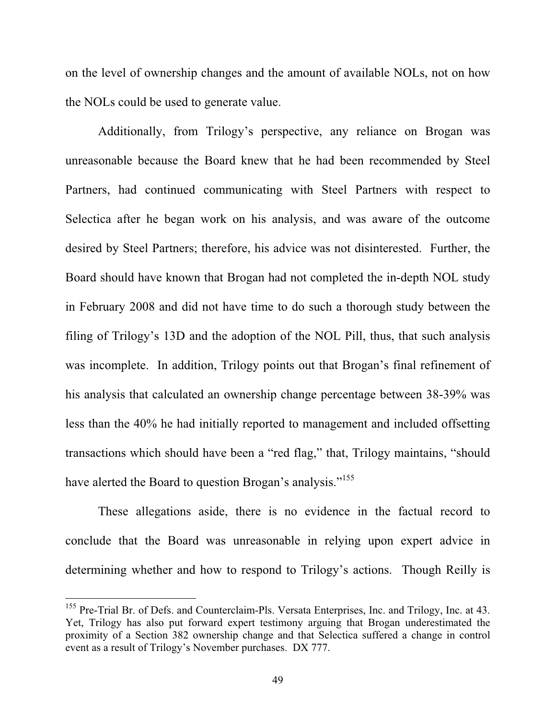on the level of ownership changes and the amount of available NOLs, not on how the NOLs could be used to generate value.

Additionally, from Trilogy's perspective, any reliance on Brogan was unreasonable because the Board knew that he had been recommended by Steel Partners, had continued communicating with Steel Partners with respect to Selectica after he began work on his analysis, and was aware of the outcome desired by Steel Partners; therefore, his advice was not disinterested. Further, the Board should have known that Brogan had not completed the in-depth NOL study in February 2008 and did not have time to do such a thorough study between the filing of Trilogy's 13D and the adoption of the NOL Pill, thus, that such analysis was incomplete. In addition, Trilogy points out that Brogan's final refinement of his analysis that calculated an ownership change percentage between 38-39% was less than the 40% he had initially reported to management and included offsetting transactions which should have been a "red flag," that, Trilogy maintains, "should have alerted the Board to question Brogan's analysis."<sup>155</sup>

These allegations aside, there is no evidence in the factual record to conclude that the Board was unreasonable in relying upon expert advice in determining whether and how to respond to Trilogy's actions. Though Reilly is

<sup>&</sup>lt;sup>155</sup> Pre-Trial Br. of Defs. and Counterclaim-Pls. Versata Enterprises, Inc. and Trilogy, Inc. at 43. Yet, Trilogy has also put forward expert testimony arguing that Brogan underestimated the proximity of a Section 382 ownership change and that Selectica suffered a change in control event as a result of Trilogy's November purchases. DX 777.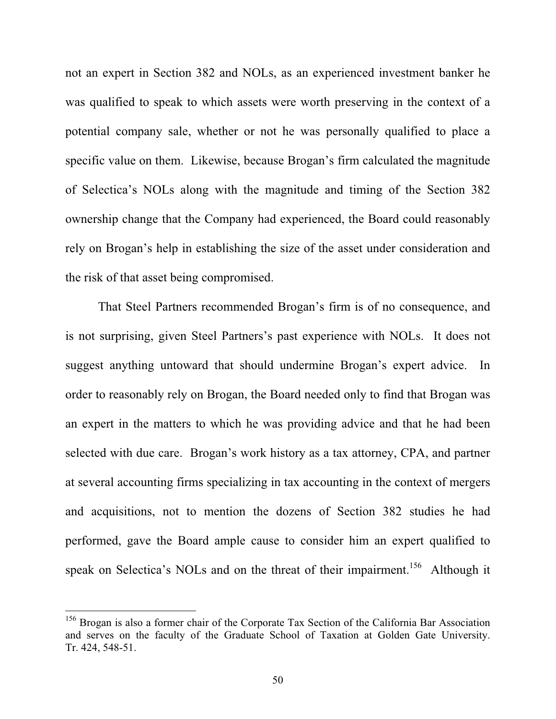not an expert in Section 382 and NOLs, as an experienced investment banker he was qualified to speak to which assets were worth preserving in the context of a potential company sale, whether or not he was personally qualified to place a specific value on them. Likewise, because Brogan's firm calculated the magnitude of Selectica's NOLs along with the magnitude and timing of the Section 382 ownership change that the Company had experienced, the Board could reasonably rely on Brogan's help in establishing the size of the asset under consideration and the risk of that asset being compromised.

That Steel Partners recommended Brogan's firm is of no consequence, and is not surprising, given Steel Partners's past experience with NOLs. It does not suggest anything untoward that should undermine Brogan's expert advice. In order to reasonably rely on Brogan, the Board needed only to find that Brogan was an expert in the matters to which he was providing advice and that he had been selected with due care. Brogan's work history as a tax attorney, CPA, and partner at several accounting firms specializing in tax accounting in the context of mergers and acquisitions, not to mention the dozens of Section 382 studies he had performed, gave the Board ample cause to consider him an expert qualified to speak on Selectica's NOLs and on the threat of their impairment.<sup>156</sup> Although it

<sup>&</sup>lt;sup>156</sup> Brogan is also a former chair of the Corporate Tax Section of the California Bar Association and serves on the faculty of the Graduate School of Taxation at Golden Gate University. Tr. 424, 548-51.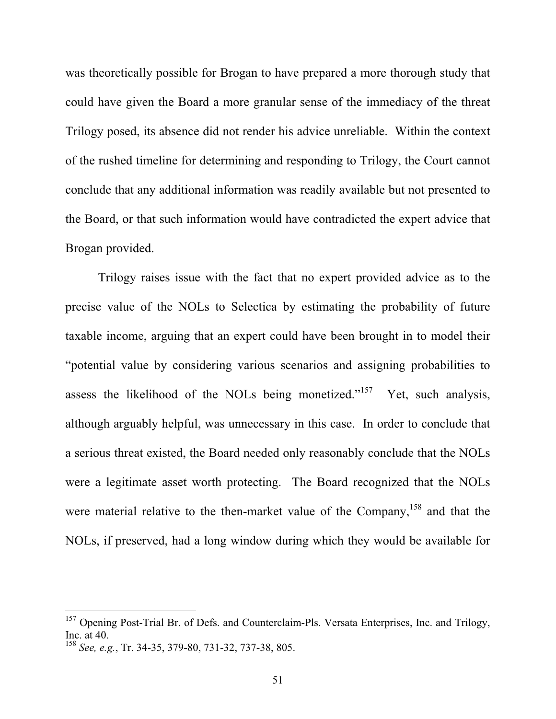was theoretically possible for Brogan to have prepared a more thorough study that could have given the Board a more granular sense of the immediacy of the threat Trilogy posed, its absence did not render his advice unreliable. Within the context of the rushed timeline for determining and responding to Trilogy, the Court cannot conclude that any additional information was readily available but not presented to the Board, or that such information would have contradicted the expert advice that Brogan provided.

Trilogy raises issue with the fact that no expert provided advice as to the precise value of the NOLs to Selectica by estimating the probability of future taxable income, arguing that an expert could have been brought in to model their "potential value by considering various scenarios and assigning probabilities to assess the likelihood of the NOLs being monetized."<sup>157</sup> Yet, such analysis, although arguably helpful, was unnecessary in this case. In order to conclude that a serious threat existed, the Board needed only reasonably conclude that the NOLs were a legitimate asset worth protecting. The Board recognized that the NOLs were material relative to the then-market value of the Company,<sup>158</sup> and that the NOLs, if preserved, had a long window during which they would be available for

<sup>&</sup>lt;sup>157</sup> Opening Post-Trial Br. of Defs. and Counterclaim-Pls. Versata Enterprises, Inc. and Trilogy, Inc. at 40.

<sup>158</sup> *See, e.g.*, Tr. 34-35, 379-80, 731-32, 737-38, 805.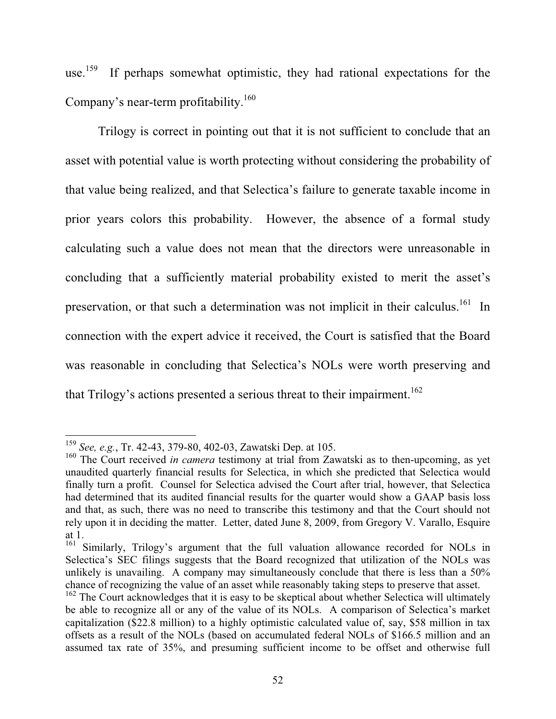use.<sup>159</sup> If perhaps somewhat optimistic, they had rational expectations for the Company's near-term profitability.<sup>160</sup>

Trilogy is correct in pointing out that it is not sufficient to conclude that an asset with potential value is worth protecting without considering the probability of that value being realized, and that Selectica's failure to generate taxable income in prior years colors this probability. However, the absence of a formal study calculating such a value does not mean that the directors were unreasonable in concluding that a sufficiently material probability existed to merit the asset's preservation, or that such a determination was not implicit in their calculus.<sup>161</sup> In connection with the expert advice it received, the Court is satisfied that the Board was reasonable in concluding that Selectica's NOLs were worth preserving and that Trilogy's actions presented a serious threat to their impairment.<sup>162</sup>

<sup>159</sup> *See, e.g.*, Tr. 42-43, 379-80, 402-03, Zawatski Dep. at 105.

<sup>&</sup>lt;sup>160</sup> The Court received *in camera* testimony at trial from Zawatski as to then-upcoming, as yet unaudited quarterly financial results for Selectica, in which she predicted that Selectica would finally turn a profit. Counsel for Selectica advised the Court after trial, however, that Selectica had determined that its audited financial results for the quarter would show a GAAP basis loss and that, as such, there was no need to transcribe this testimony and that the Court should not rely upon it in deciding the matter. Letter, dated June 8, 2009, from Gregory V. Varallo, Esquire at 1.

<sup>&</sup>lt;sup>161</sup> Similarly, Trilogy's argument that the full valuation allowance recorded for NOLs in Selectica's SEC filings suggests that the Board recognized that utilization of the NOLs was unlikely is unavailing. A company may simultaneously conclude that there is less than a 50% chance of recognizing the value of an asset while reasonably taking steps to preserve that asset.

<sup>&</sup>lt;sup>162</sup> The Court acknowledges that it is easy to be skeptical about whether Selectica will ultimately be able to recognize all or any of the value of its NOLs. A comparison of Selectica's market capitalization (\$22.8 million) to a highly optimistic calculated value of, say, \$58 million in tax offsets as a result of the NOLs (based on accumulated federal NOLs of \$166.5 million and an assumed tax rate of 35%, and presuming sufficient income to be offset and otherwise full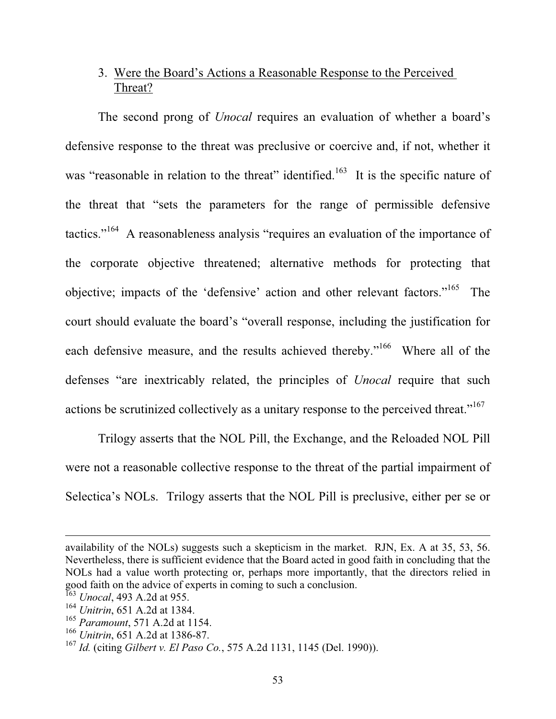# 3. Were the Board's Actions a Reasonable Response to the Perceived Threat?

The second prong of *Unocal* requires an evaluation of whether a board's defensive response to the threat was preclusive or coercive and, if not, whether it was "reasonable in relation to the threat" identified.<sup>163</sup> It is the specific nature of the threat that "sets the parameters for the range of permissible defensive tactics."164 A reasonableness analysis "requires an evaluation of the importance of the corporate objective threatened; alternative methods for protecting that objective; impacts of the 'defensive' action and other relevant factors."165 The court should evaluate the board's "overall response, including the justification for each defensive measure, and the results achieved thereby."<sup>166</sup> Where all of the defenses "are inextricably related, the principles of *Unocal* require that such actions be scrutinized collectively as a unitary response to the perceived threat."<sup>167</sup>

Trilogy asserts that the NOL Pill, the Exchange, and the Reloaded NOL Pill were not a reasonable collective response to the threat of the partial impairment of Selectica's NOLs. Trilogy asserts that the NOL Pill is preclusive, either per se or

availability of the NOLs) suggests such a skepticism in the market. RJN, Ex. A at 35, 53, 56. Nevertheless, there is sufficient evidence that the Board acted in good faith in concluding that the NOLs had a value worth protecting or, perhaps more importantly, that the directors relied in good faith on the advice of experts in coming to such a conclusion.

<sup>163</sup> *Unocal*, 493 A.2d at 955.

<sup>164</sup> *Unitrin*, 651 A.2d at 1384.

<sup>165</sup> *Paramount*, 571 A.2d at 1154.

<sup>166</sup> *Unitrin*, 651 A.2d at 1386-87.

<sup>167</sup> *Id.* (citing *Gilbert v. El Paso Co.*, 575 A.2d 1131, 1145 (Del. 1990)).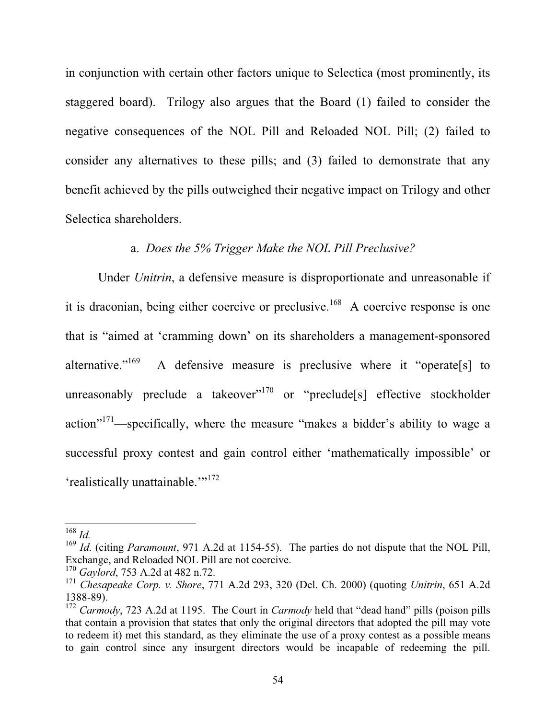in conjunction with certain other factors unique to Selectica (most prominently, its staggered board). Trilogy also argues that the Board (1) failed to consider the negative consequences of the NOL Pill and Reloaded NOL Pill; (2) failed to consider any alternatives to these pills; and (3) failed to demonstrate that any benefit achieved by the pills outweighed their negative impact on Trilogy and other Selectica shareholders.

### a. *Does the 5% Trigger Make the NOL Pill Preclusive?*

Under *Unitrin*, a defensive measure is disproportionate and unreasonable if it is draconian, being either coercive or preclusive.<sup>168</sup> A coercive response is one that is "aimed at 'cramming down' on its shareholders a management-sponsored alternative."<sup>169</sup> A defensive measure is preclusive where it "operate<sup>[s]</sup> to unreasonably preclude a takeover"<sup>170</sup> or "preclude[s] effective stockholder action"171—specifically, where the measure "makes a bidder's ability to wage a successful proxy contest and gain control either 'mathematically impossible' or 'realistically unattainable."<sup>172</sup>

<sup>168</sup> *Id.*

<sup>&</sup>lt;sup>169</sup> *Id.* (citing *Paramount*, 971 A.2d at 1154-55). The parties do not dispute that the NOL Pill, Exchange, and Reloaded NOL Pill are not coercive.

<sup>170</sup> *Gaylord*, 753 A.2d at 482 n.72.

<sup>171</sup> *Chesapeake Corp. v. Shore*, 771 A.2d 293, 320 (Del. Ch. 2000) (quoting *Unitrin*, 651 A.2d 1388-89).

<sup>172</sup> *Carmody*, 723 A.2d at 1195. The Court in *Carmody* held that "dead hand" pills (poison pills that contain a provision that states that only the original directors that adopted the pill may vote to redeem it) met this standard, as they eliminate the use of a proxy contest as a possible means to gain control since any insurgent directors would be incapable of redeeming the pill.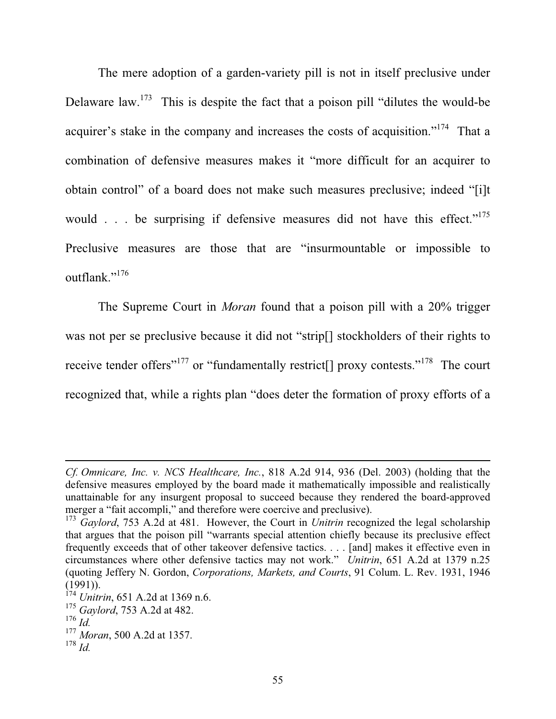The mere adoption of a garden-variety pill is not in itself preclusive under Delaware law.<sup>173</sup> This is despite the fact that a poison pill "dilutes the would-be" acquirer's stake in the company and increases the costs of acquisition."<sup>174</sup> That a combination of defensive measures makes it "more difficult for an acquirer to obtain control" of a board does not make such measures preclusive; indeed "[i]t would . . . be surprising if defensive measures did not have this effect."<sup>175</sup> Preclusive measures are those that are "insurmountable or impossible to outflank."<sup>176</sup>

The Supreme Court in *Moran* found that a poison pill with a 20% trigger was not per se preclusive because it did not "strip[] stockholders of their rights to receive tender offers"<sup>177</sup> or "fundamentally restrict<sup>[]</sup> proxy contests."<sup>178</sup> The court recognized that, while a rights plan "does deter the formation of proxy efforts of a

*Cf. Omnicare, Inc. v. NCS Healthcare, Inc.*, 818 A.2d 914, 936 (Del. 2003) (holding that the defensive measures employed by the board made it mathematically impossible and realistically unattainable for any insurgent proposal to succeed because they rendered the board-approved merger a "fait accompli," and therefore were coercive and preclusive).

<sup>173</sup> *Gaylord*, 753 A.2d at 481. However, the Court in *Unitrin* recognized the legal scholarship that argues that the poison pill "warrants special attention chiefly because its preclusive effect frequently exceeds that of other takeover defensive tactics. . . . [and] makes it effective even in circumstances where other defensive tactics may not work." *Unitrin*, 651 A.2d at 1379 n.25 (quoting Jeffery N. Gordon, *Corporations, Markets, and Courts*, 91 Colum. L. Rev. 1931, 1946  $(1991)$ ).

<sup>&</sup>lt;sup>174</sup> *Unitrin*, 651 A.2d at 1369 n.6.

<sup>175</sup> *Gaylord*, 753 A.2d at 482.

<sup>176</sup> *Id.*

<sup>177</sup> *Moran*, 500 A.2d at 1357.

<sup>178</sup> *Id.*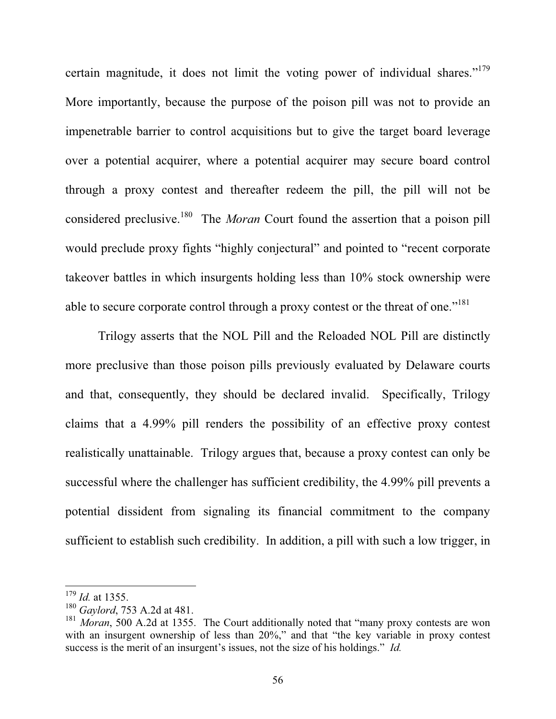certain magnitude, it does not limit the voting power of individual shares."<sup>179</sup> More importantly, because the purpose of the poison pill was not to provide an impenetrable barrier to control acquisitions but to give the target board leverage over a potential acquirer, where a potential acquirer may secure board control through a proxy contest and thereafter redeem the pill, the pill will not be considered preclusive.<sup>180</sup> The *Moran* Court found the assertion that a poison pill would preclude proxy fights "highly conjectural" and pointed to "recent corporate takeover battles in which insurgents holding less than 10% stock ownership were able to secure corporate control through a proxy contest or the threat of one."<sup>181</sup>

Trilogy asserts that the NOL Pill and the Reloaded NOL Pill are distinctly more preclusive than those poison pills previously evaluated by Delaware courts and that, consequently, they should be declared invalid. Specifically, Trilogy claims that a 4.99% pill renders the possibility of an effective proxy contest realistically unattainable. Trilogy argues that, because a proxy contest can only be successful where the challenger has sufficient credibility, the 4.99% pill prevents a potential dissident from signaling its financial commitment to the company sufficient to establish such credibility. In addition, a pill with such a low trigger, in

<sup>179</sup> *Id.* at 1355.

<sup>180</sup> *Gaylord*, 753 A.2d at 481.

<sup>&</sup>lt;sup>181</sup> *Moran*, 500 A.2d at 1355. The Court additionally noted that "many proxy contests are won with an insurgent ownership of less than 20%," and that "the key variable in proxy contest success is the merit of an insurgent's issues, not the size of his holdings." *Id.*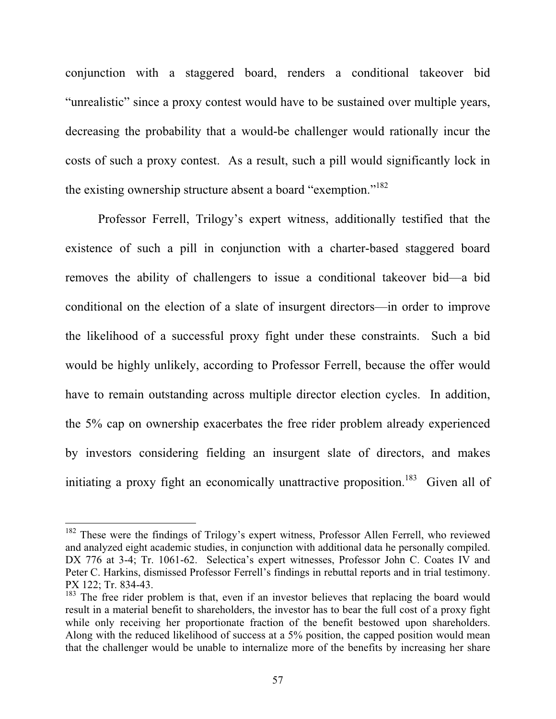conjunction with a staggered board, renders a conditional takeover bid "unrealistic" since a proxy contest would have to be sustained over multiple years, decreasing the probability that a would-be challenger would rationally incur the costs of such a proxy contest. As a result, such a pill would significantly lock in the existing ownership structure absent a board "exemption."<sup>182</sup>

Professor Ferrell, Trilogy's expert witness, additionally testified that the existence of such a pill in conjunction with a charter-based staggered board removes the ability of challengers to issue a conditional takeover bid—a bid conditional on the election of a slate of insurgent directors—in order to improve the likelihood of a successful proxy fight under these constraints. Such a bid would be highly unlikely, according to Professor Ferrell, because the offer would have to remain outstanding across multiple director election cycles. In addition, the 5% cap on ownership exacerbates the free rider problem already experienced by investors considering fielding an insurgent slate of directors, and makes initiating a proxy fight an economically unattractive proposition.<sup>183</sup> Given all of

<sup>&</sup>lt;sup>182</sup> These were the findings of Trilogy's expert witness, Professor Allen Ferrell, who reviewed and analyzed eight academic studies, in conjunction with additional data he personally compiled. DX 776 at 3-4; Tr. 1061-62. Selectica's expert witnesses, Professor John C. Coates IV and Peter C. Harkins, dismissed Professor Ferrell's findings in rebuttal reports and in trial testimony. PX 122; Tr. 834-43.

<sup>&</sup>lt;sup>183</sup> The free rider problem is that, even if an investor believes that replacing the board would result in a material benefit to shareholders, the investor has to bear the full cost of a proxy fight while only receiving her proportionate fraction of the benefit bestowed upon shareholders. Along with the reduced likelihood of success at a 5% position, the capped position would mean that the challenger would be unable to internalize more of the benefits by increasing her share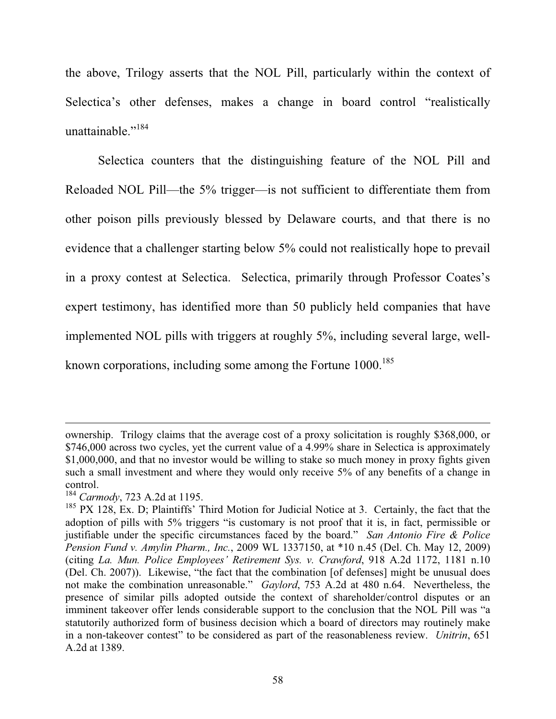the above, Trilogy asserts that the NOL Pill, particularly within the context of Selectica's other defenses, makes a change in board control "realistically unattainable."<sup>184</sup>

Selectica counters that the distinguishing feature of the NOL Pill and Reloaded NOL Pill—the 5% trigger—is not sufficient to differentiate them from other poison pills previously blessed by Delaware courts, and that there is no evidence that a challenger starting below 5% could not realistically hope to prevail in a proxy contest at Selectica. Selectica, primarily through Professor Coates's expert testimony, has identified more than 50 publicly held companies that have implemented NOL pills with triggers at roughly 5%, including several large, wellknown corporations, including some among the Fortune 1000.<sup>185</sup>

ownership. Trilogy claims that the average cost of a proxy solicitation is roughly \$368,000, or \$746,000 across two cycles, yet the current value of a 4.99% share in Selectica is approximately \$1,000,000, and that no investor would be willing to stake so much money in proxy fights given such a small investment and where they would only receive 5% of any benefits of a change in control.

<sup>184</sup> *Carmody*, 723 A.2d at 1195.

 $185$  PX 128, Ex. D; Plaintiffs' Third Motion for Judicial Notice at 3. Certainly, the fact that the adoption of pills with 5% triggers "is customary is not proof that it is, in fact, permissible or justifiable under the specific circumstances faced by the board." *San Antonio Fire & Police Pension Fund v. Amylin Pharm., Inc.*, 2009 WL 1337150, at \*10 n.45 (Del. Ch. May 12, 2009) (citing *La. Mun. Police Employees' Retirement Sys. v. Crawford*, 918 A.2d 1172, 1181 n.10 (Del. Ch. 2007)). Likewise, "the fact that the combination [of defenses] might be unusual does not make the combination unreasonable." *Gaylord*, 753 A.2d at 480 n.64. Nevertheless, the presence of similar pills adopted outside the context of shareholder/control disputes or an imminent takeover offer lends considerable support to the conclusion that the NOL Pill was "a statutorily authorized form of business decision which a board of directors may routinely make in a non-takeover contest" to be considered as part of the reasonableness review. *Unitrin*, 651 A.2d at 1389.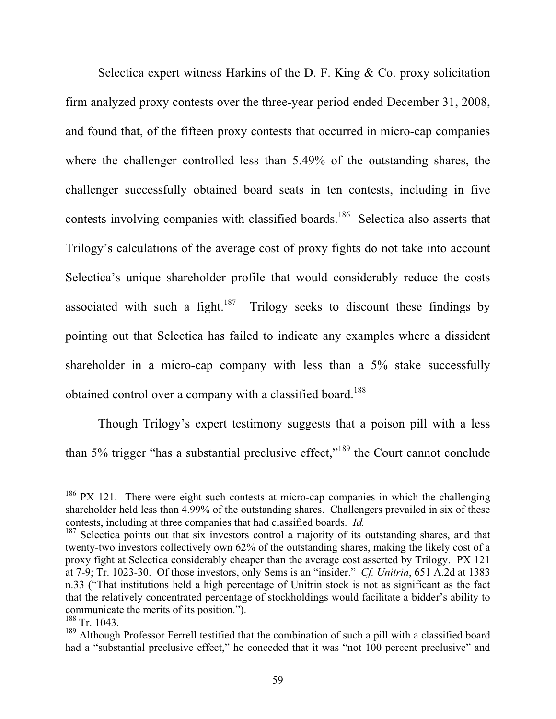Selectica expert witness Harkins of the D. F. King & Co. proxy solicitation firm analyzed proxy contests over the three-year period ended December 31, 2008, and found that, of the fifteen proxy contests that occurred in micro-cap companies where the challenger controlled less than 5.49% of the outstanding shares, the challenger successfully obtained board seats in ten contests, including in five contests involving companies with classified boards.<sup>186</sup> Selectica also asserts that Trilogy's calculations of the average cost of proxy fights do not take into account Selectica's unique shareholder profile that would considerably reduce the costs associated with such a fight.<sup>187</sup> Trilogy seeks to discount these findings by pointing out that Selectica has failed to indicate any examples where a dissident shareholder in a micro-cap company with less than a  $5\%$  stake successfully obtained control over a company with a classified board.<sup>188</sup>

Though Trilogy's expert testimony suggests that a poison pill with a less than 5% trigger "has a substantial preclusive effect,"<sup>189</sup> the Court cannot conclude

<sup>&</sup>lt;sup>186</sup> PX 121. There were eight such contests at micro-cap companies in which the challenging shareholder held less than 4.99% of the outstanding shares. Challengers prevailed in six of these contests, including at three companies that had classified boards. *Id.*

<sup>&</sup>lt;sup>187</sup> Selectica points out that six investors control a majority of its outstanding shares, and that twenty-two investors collectively own 62% of the outstanding shares, making the likely cost of a proxy fight at Selectica considerably cheaper than the average cost asserted by Trilogy. PX 121 at 7-9; Tr. 1023-30. Of those investors, only Sems is an "insider." *Cf. Unitrin*, 651 A.2d at 1383 n.33 ("That institutions held a high percentage of Unitrin stock is not as significant as the fact that the relatively concentrated percentage of stockholdings would facilitate a bidder's ability to communicate the merits of its position.").

 $\frac{188}{188}$  Tr. 1043.

 $189$  Although Professor Ferrell testified that the combination of such a pill with a classified board had a "substantial preclusive effect," he conceded that it was "not 100 percent preclusive" and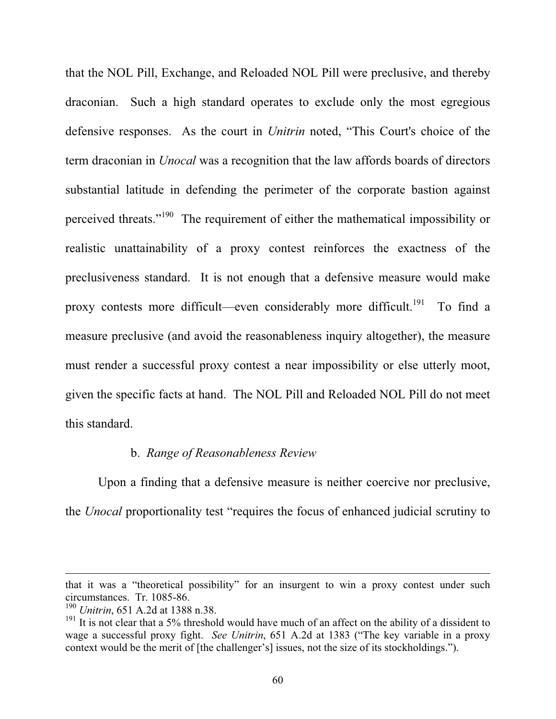that the NOL Pill, Exchange, and Reloaded NOL Pill were preclusive, and thereby draconian. Such a high standard operates to exclude only the most egregious defensive responses. As the court in *Unitrin* noted, "This Court's choice of the term draconian in *Unocal* was a recognition that the law affords boards of directors substantial latitude in defending the perimeter of the corporate bastion against perceived threats."190 The requirement of either the mathematical impossibility or realistic unattainability of a proxy contest reinforces the exactness of the preclusiveness standard. It is not enough that a defensive measure would make proxy contests more difficult—even considerably more difficult.<sup>191</sup> To find a measure preclusive (and avoid the reasonableness inquiry altogether), the measure must render a successful proxy contest a near impossibility or else utterly moot, given the specific facts at hand. The NOL Pill and Reloaded NOL Pill do not meet this standard.

#### b. *Range of Reasonableness Review*

Upon a finding that a defensive measure is neither coercive nor preclusive, the *Unocal* proportionality test "requires the focus of enhanced judicial scrutiny to

that it was a "theoretical possibility" for an insurgent to win a proxy contest under such circumstances. Tr. 1085-86.

<sup>190</sup> *Unitrin*, 651 A.2d at 1388 n.38.

<sup>&</sup>lt;sup>191</sup> It is not clear that a 5% threshold would have much of an affect on the ability of a dissident to wage a successful proxy fight. *See Unitrin*, 651 A.2d at 1383 ("The key variable in a proxy context would be the merit of [the challenger's] issues, not the size of its stockholdings.").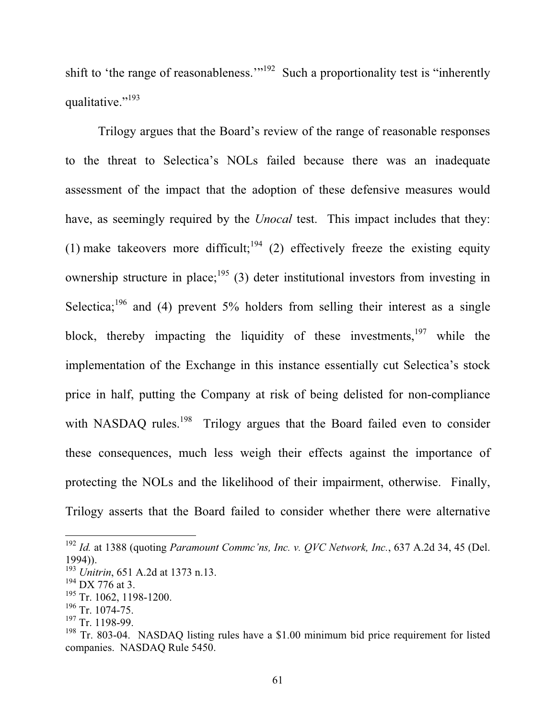shift to 'the range of reasonableness.'"<sup>192</sup> Such a proportionality test is "inherently qualitative."<sup>193</sup>

Trilogy argues that the Board's review of the range of reasonable responses to the threat to Selectica's NOLs failed because there was an inadequate assessment of the impact that the adoption of these defensive measures would have, as seemingly required by the *Unocal* test. This impact includes that they: (1) make takeovers more difficult;<sup>194</sup> (2) effectively freeze the existing equity ownership structure in place;<sup>195</sup> (3) deter institutional investors from investing in Selectica;<sup>196</sup> and (4) prevent 5% holders from selling their interest as a single block, thereby impacting the liquidity of these investments, $197$  while the implementation of the Exchange in this instance essentially cut Selectica's stock price in half, putting the Company at risk of being delisted for non-compliance with NASDAQ rules.<sup>198</sup> Trilogy argues that the Board failed even to consider these consequences, much less weigh their effects against the importance of protecting the NOLs and the likelihood of their impairment, otherwise. Finally, Trilogy asserts that the Board failed to consider whether there were alternative

<sup>192</sup> *Id.* at 1388 (quoting *Paramount Commc'ns, Inc. v. QVC Network, Inc.*, 637 A.2d 34, 45 (Del. 1994)).

<sup>193</sup> *Unitrin*, 651 A.2d at 1373 n.13.

 $194$  DX 776 at 3.

<sup>&</sup>lt;sup>195</sup> Tr. 1062, 1198-1200.

<sup>196</sup> Tr. 1074-75.

 $197$  Tr. 1198-99.

 $198$  Tr. 803-04. NASDAO listing rules have a \$1.00 minimum bid price requirement for listed companies. NASDAQ Rule 5450.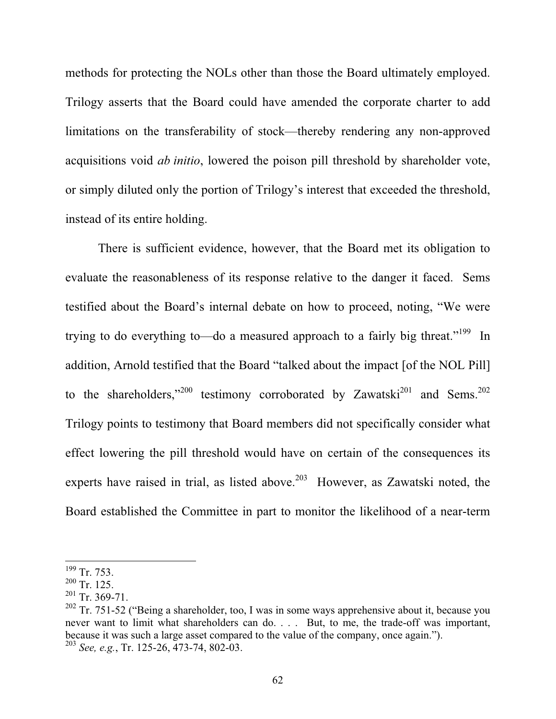methods for protecting the NOLs other than those the Board ultimately employed. Trilogy asserts that the Board could have amended the corporate charter to add limitations on the transferability of stock—thereby rendering any non-approved acquisitions void *ab initio*, lowered the poison pill threshold by shareholder vote, or simply diluted only the portion of Trilogy's interest that exceeded the threshold, instead of its entire holding.

There is sufficient evidence, however, that the Board met its obligation to evaluate the reasonableness of its response relative to the danger it faced. Sems testified about the Board's internal debate on how to proceed, noting, "We were trying to do everything to—do a measured approach to a fairly big threat."<sup>199</sup> In addition, Arnold testified that the Board "talked about the impact [of the NOL Pill] to the shareholders,"<sup>200</sup> testimony corroborated by Zawatski<sup>201</sup> and Sems.<sup>202</sup> Trilogy points to testimony that Board members did not specifically consider what effect lowering the pill threshold would have on certain of the consequences its experts have raised in trial, as listed above.<sup>203</sup> However, as Zawatski noted, the Board established the Committee in part to monitor the likelihood of a near-term

<sup>&</sup>lt;sup>199</sup> Tr. 753.

 $200$  Tr. 125.

 $201$  Tr. 369-71.

 $202$  Tr. 751-52 ("Being a shareholder, too, I was in some ways apprehensive about it, because you never want to limit what shareholders can do. . . . But, to me, the trade-off was important, because it was such a large asset compared to the value of the company, once again."). <sup>203</sup> *See, e.g.*, Tr. 125-26, 473-74, 802-03.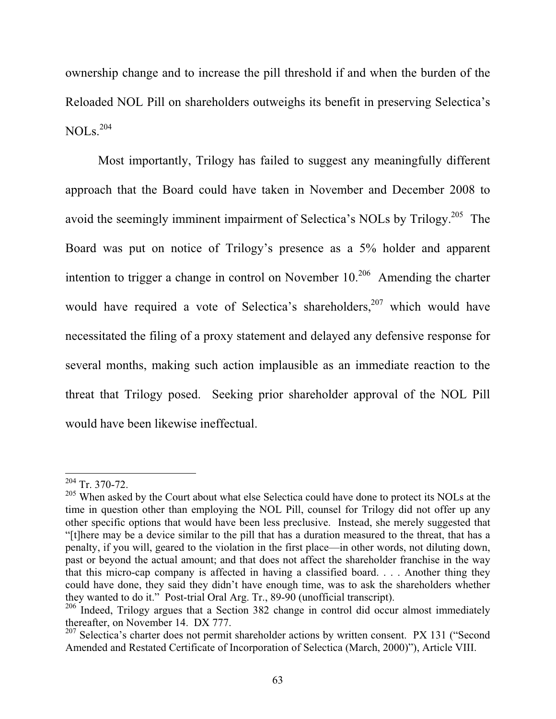ownership change and to increase the pill threshold if and when the burden of the Reloaded NOL Pill on shareholders outweighs its benefit in preserving Selectica's  $NOLs.<sup>204</sup>$ 

Most importantly, Trilogy has failed to suggest any meaningfully different approach that the Board could have taken in November and December 2008 to avoid the seemingly imminent impairment of Selectica's NOLs by Trilogy.<sup>205</sup> The Board was put on notice of Trilogy's presence as a 5% holder and apparent intention to trigger a change in control on November  $10<sup>206</sup>$  Amending the charter would have required a vote of Selectica's shareholders,  $207$  which would have necessitated the filing of a proxy statement and delayed any defensive response for several months, making such action implausible as an immediate reaction to the threat that Trilogy posed. Seeking prior shareholder approval of the NOL Pill would have been likewise ineffectual.

 $204$  Tr. 370-72.

<sup>&</sup>lt;sup>205</sup> When asked by the Court about what else Selectica could have done to protect its NOLs at the time in question other than employing the NOL Pill, counsel for Trilogy did not offer up any other specific options that would have been less preclusive. Instead, she merely suggested that "[t]here may be a device similar to the pill that has a duration measured to the threat, that has a penalty, if you will, geared to the violation in the first place—in other words, not diluting down, past or beyond the actual amount; and that does not affect the shareholder franchise in the way that this micro-cap company is affected in having a classified board. . . . Another thing they could have done, they said they didn't have enough time, was to ask the shareholders whether they wanted to do it." Post-trial Oral Arg. Tr., 89-90 (unofficial transcript).

<sup>&</sup>lt;sup>206</sup> Indeed, Trilogy argues that a Section 382 change in control did occur almost immediately thereafter, on November 14. DX 777.

<sup>&</sup>lt;sup>207</sup> Selectica's charter does not permit shareholder actions by written consent. PX 131 ("Second Amended and Restated Certificate of Incorporation of Selectica (March, 2000)"), Article VIII.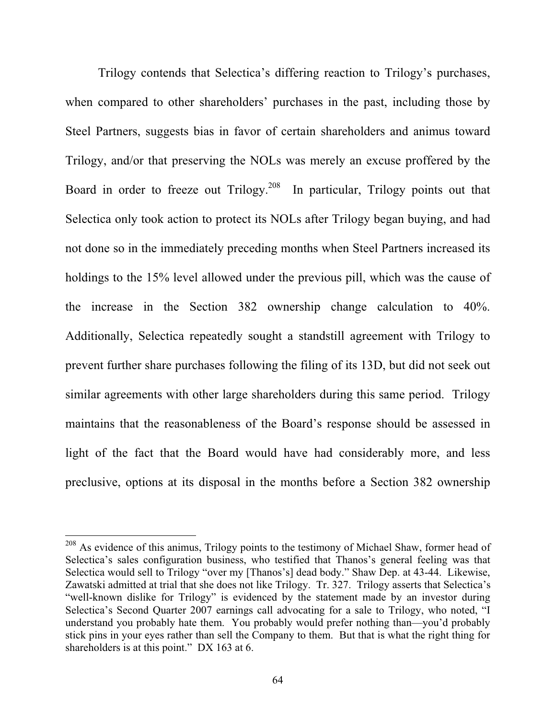Trilogy contends that Selectica's differing reaction to Trilogy's purchases, when compared to other shareholders' purchases in the past, including those by Steel Partners, suggests bias in favor of certain shareholders and animus toward Trilogy, and/or that preserving the NOLs was merely an excuse proffered by the Board in order to freeze out Trilogy.<sup>208</sup> In particular, Trilogy points out that Selectica only took action to protect its NOLs after Trilogy began buying, and had not done so in the immediately preceding months when Steel Partners increased its holdings to the 15% level allowed under the previous pill, which was the cause of the increase in the Section 382 ownership change calculation to 40%. Additionally, Selectica repeatedly sought a standstill agreement with Trilogy to prevent further share purchases following the filing of its 13D, but did not seek out similar agreements with other large shareholders during this same period. Trilogy maintains that the reasonableness of the Board's response should be assessed in light of the fact that the Board would have had considerably more, and less preclusive, options at its disposal in the months before a Section 382 ownership

<sup>&</sup>lt;sup>208</sup> As evidence of this animus, Trilogy points to the testimony of Michael Shaw, former head of Selectica's sales configuration business, who testified that Thanos's general feeling was that Selectica would sell to Trilogy "over my [Thanos's] dead body." Shaw Dep. at 43-44. Likewise, Zawatski admitted at trial that she does not like Trilogy. Tr. 327. Trilogy asserts that Selectica's "well-known dislike for Trilogy" is evidenced by the statement made by an investor during Selectica's Second Quarter 2007 earnings call advocating for a sale to Trilogy, who noted, "I understand you probably hate them. You probably would prefer nothing than—you'd probably stick pins in your eyes rather than sell the Company to them. But that is what the right thing for shareholders is at this point." DX 163 at 6.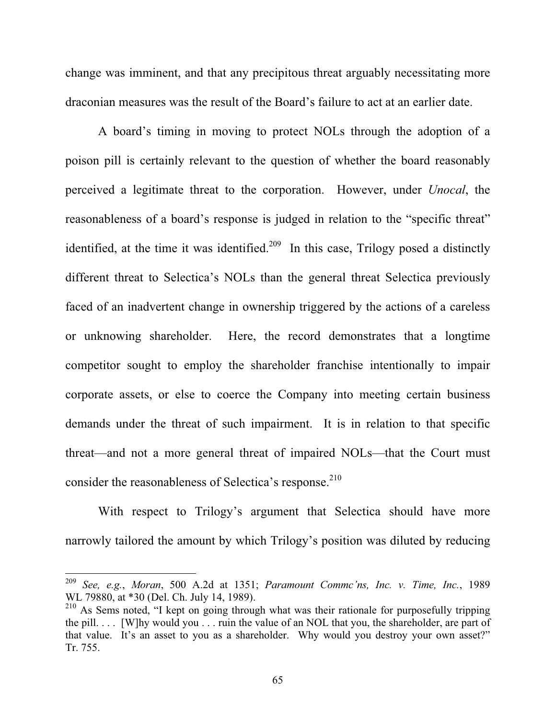change was imminent, and that any precipitous threat arguably necessitating more draconian measures was the result of the Board's failure to act at an earlier date.

A board's timing in moving to protect NOLs through the adoption of a poison pill is certainly relevant to the question of whether the board reasonably perceived a legitimate threat to the corporation. However, under *Unocal*, the reasonableness of a board's response is judged in relation to the "specific threat" identified, at the time it was identified.<sup>209</sup> In this case, Trilogy posed a distinctly different threat to Selectica's NOLs than the general threat Selectica previously faced of an inadvertent change in ownership triggered by the actions of a careless or unknowing shareholder. Here, the record demonstrates that a longtime competitor sought to employ the shareholder franchise intentionally to impair corporate assets, or else to coerce the Company into meeting certain business demands under the threat of such impairment. It is in relation to that specific threat—and not a more general threat of impaired NOLs—that the Court must consider the reasonableness of Selectica's response.<sup>210</sup>

With respect to Trilogy's argument that Selectica should have more narrowly tailored the amount by which Trilogy's position was diluted by reducing

<sup>209</sup> *See, e.g.*, *Moran*, 500 A.2d at 1351; *Paramount Commc'ns, Inc. v. Time, Inc.*, 1989 WL 79880, at \*30 (Del. Ch. July 14, 1989).

<sup>&</sup>lt;sup>210</sup> As Sems noted, "I kept on going through what was their rationale for purposefully tripping the pill. . . . [W]hy would you . . . ruin the value of an NOL that you, the shareholder, are part of that value. It's an asset to you as a shareholder. Why would you destroy your own asset?" Tr. 755.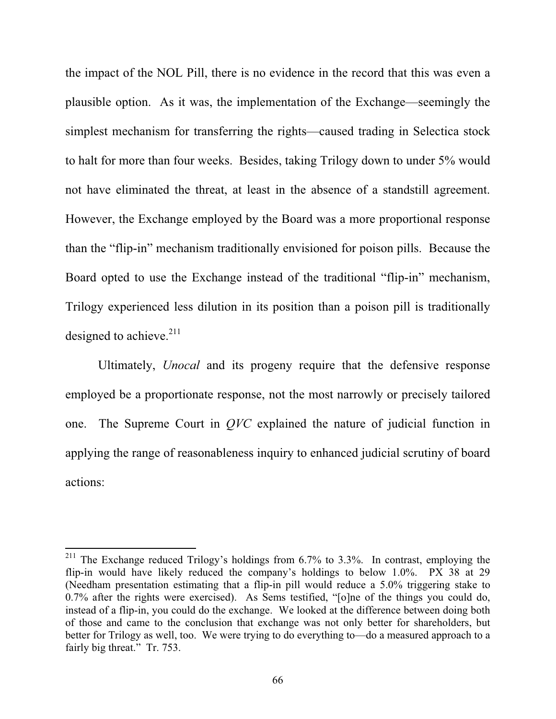the impact of the NOL Pill, there is no evidence in the record that this was even a plausible option. As it was, the implementation of the Exchange—seemingly the simplest mechanism for transferring the rights—caused trading in Selectica stock to halt for more than four weeks. Besides, taking Trilogy down to under 5% would not have eliminated the threat, at least in the absence of a standstill agreement. However, the Exchange employed by the Board was a more proportional response than the "flip-in" mechanism traditionally envisioned for poison pills. Because the Board opted to use the Exchange instead of the traditional "flip-in" mechanism, Trilogy experienced less dilution in its position than a poison pill is traditionally designed to achieve. $^{211}$ 

Ultimately, *Unocal* and its progeny require that the defensive response employed be a proportionate response, not the most narrowly or precisely tailored one. The Supreme Court in *QVC* explained the nature of judicial function in applying the range of reasonableness inquiry to enhanced judicial scrutiny of board actions:

<sup>&</sup>lt;sup>211</sup> The Exchange reduced Trilogy's holdings from 6.7% to 3.3%. In contrast, employing the flip-in would have likely reduced the company's holdings to below 1.0%. PX 38 at 29 (Needham presentation estimating that a flip-in pill would reduce a 5.0% triggering stake to 0.7% after the rights were exercised). As Sems testified, "[o]ne of the things you could do, instead of a flip-in, you could do the exchange. We looked at the difference between doing both of those and came to the conclusion that exchange was not only better for shareholders, but better for Trilogy as well, too. We were trying to do everything to—do a measured approach to a fairly big threat." Tr. 753.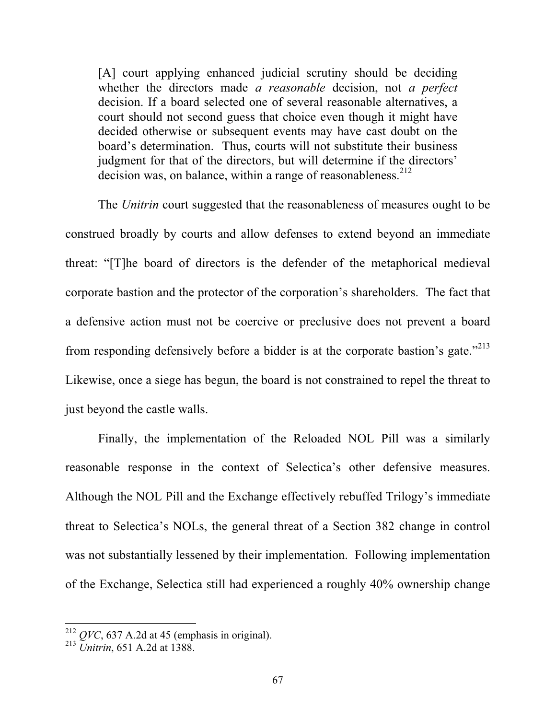[A] court applying enhanced judicial scrutiny should be deciding whether the directors made *a reasonable* decision, not *a perfect* decision. If a board selected one of several reasonable alternatives, a court should not second guess that choice even though it might have decided otherwise or subsequent events may have cast doubt on the board's determination. Thus, courts will not substitute their business judgment for that of the directors, but will determine if the directors' decision was, on balance, within a range of reasonableness. $2^{12}$ 

The *Unitrin* court suggested that the reasonableness of measures ought to be construed broadly by courts and allow defenses to extend beyond an immediate threat: "[T]he board of directors is the defender of the metaphorical medieval corporate bastion and the protector of the corporation's shareholders. The fact that a defensive action must not be coercive or preclusive does not prevent a board from responding defensively before a bidder is at the corporate bastion's gate."<sup>213</sup> Likewise, once a siege has begun, the board is not constrained to repel the threat to just beyond the castle walls.

Finally, the implementation of the Reloaded NOL Pill was a similarly reasonable response in the context of Selectica's other defensive measures. Although the NOL Pill and the Exchange effectively rebuffed Trilogy's immediate threat to Selectica's NOLs, the general threat of a Section 382 change in control was not substantially lessened by their implementation. Following implementation of the Exchange, Selectica still had experienced a roughly 40% ownership change

 $^{212}$  *QVC*, 637 A.2d at 45 (emphasis in original).

<sup>213</sup> *Unitrin*, 651 A.2d at 1388.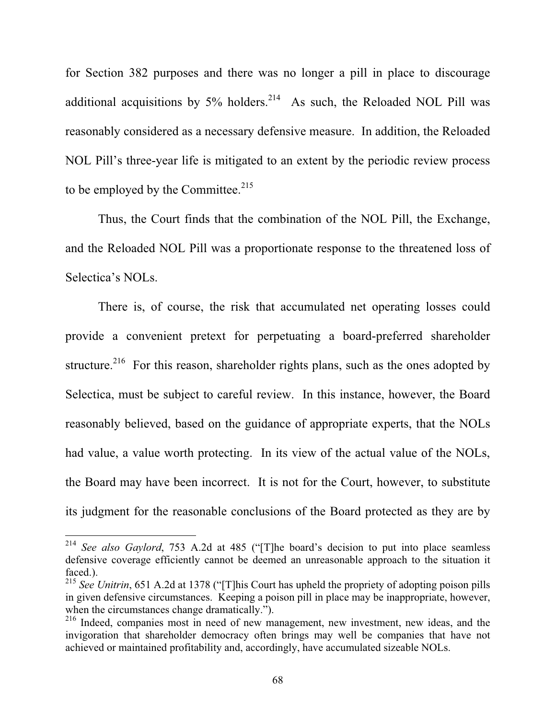for Section 382 purposes and there was no longer a pill in place to discourage additional acquisitions by  $5\%$  holders.<sup>214</sup> As such, the Reloaded NOL Pill was reasonably considered as a necessary defensive measure. In addition, the Reloaded NOL Pill's three-year life is mitigated to an extent by the periodic review process to be employed by the Committee. $215$ 

Thus, the Court finds that the combination of the NOL Pill, the Exchange, and the Reloaded NOL Pill was a proportionate response to the threatened loss of Selectica's NOLs.

There is, of course, the risk that accumulated net operating losses could provide a convenient pretext for perpetuating a board-preferred shareholder structure.<sup>216</sup> For this reason, shareholder rights plans, such as the ones adopted by Selectica, must be subject to careful review. In this instance, however, the Board reasonably believed, based on the guidance of appropriate experts, that the NOLs had value, a value worth protecting. In its view of the actual value of the NOLs, the Board may have been incorrect. It is not for the Court, however, to substitute its judgment for the reasonable conclusions of the Board protected as they are by

<sup>214</sup> *See also Gaylord*, 753 A.2d at 485 ("[T]he board's decision to put into place seamless defensive coverage efficiently cannot be deemed an unreasonable approach to the situation it faced.).

<sup>&</sup>lt;sup>215</sup> See Unitrin, 651 A.2d at 1378 ("[T]his Court has upheld the propriety of adopting poison pills in given defensive circumstances. Keeping a poison pill in place may be inappropriate, however, when the circumstances change dramatically.").

<sup>&</sup>lt;sup>216</sup> Indeed, companies most in need of new management, new investment, new ideas, and the invigoration that shareholder democracy often brings may well be companies that have not achieved or maintained profitability and, accordingly, have accumulated sizeable NOLs.